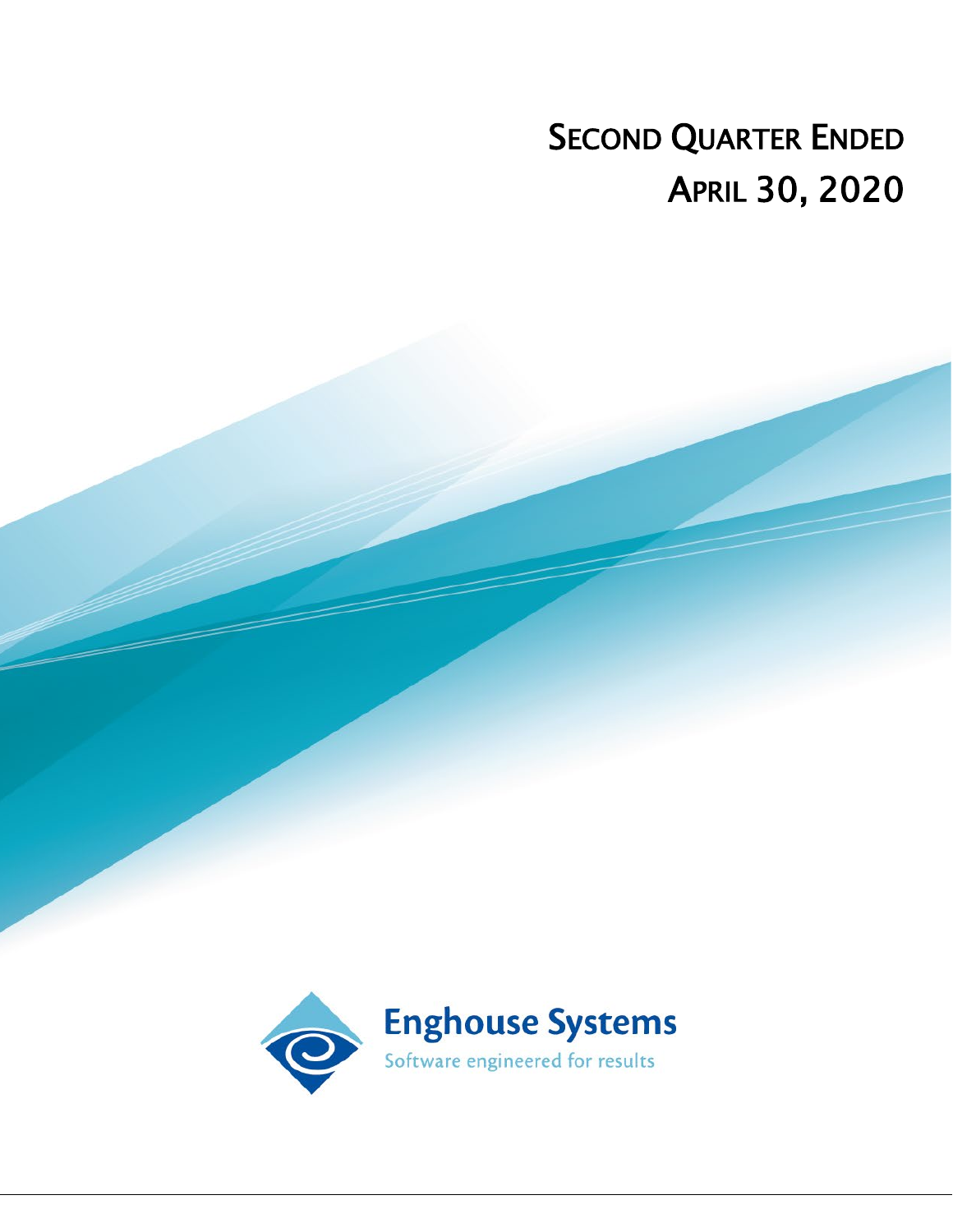# SECOND QUARTER ENDED APRIL 30, 2020

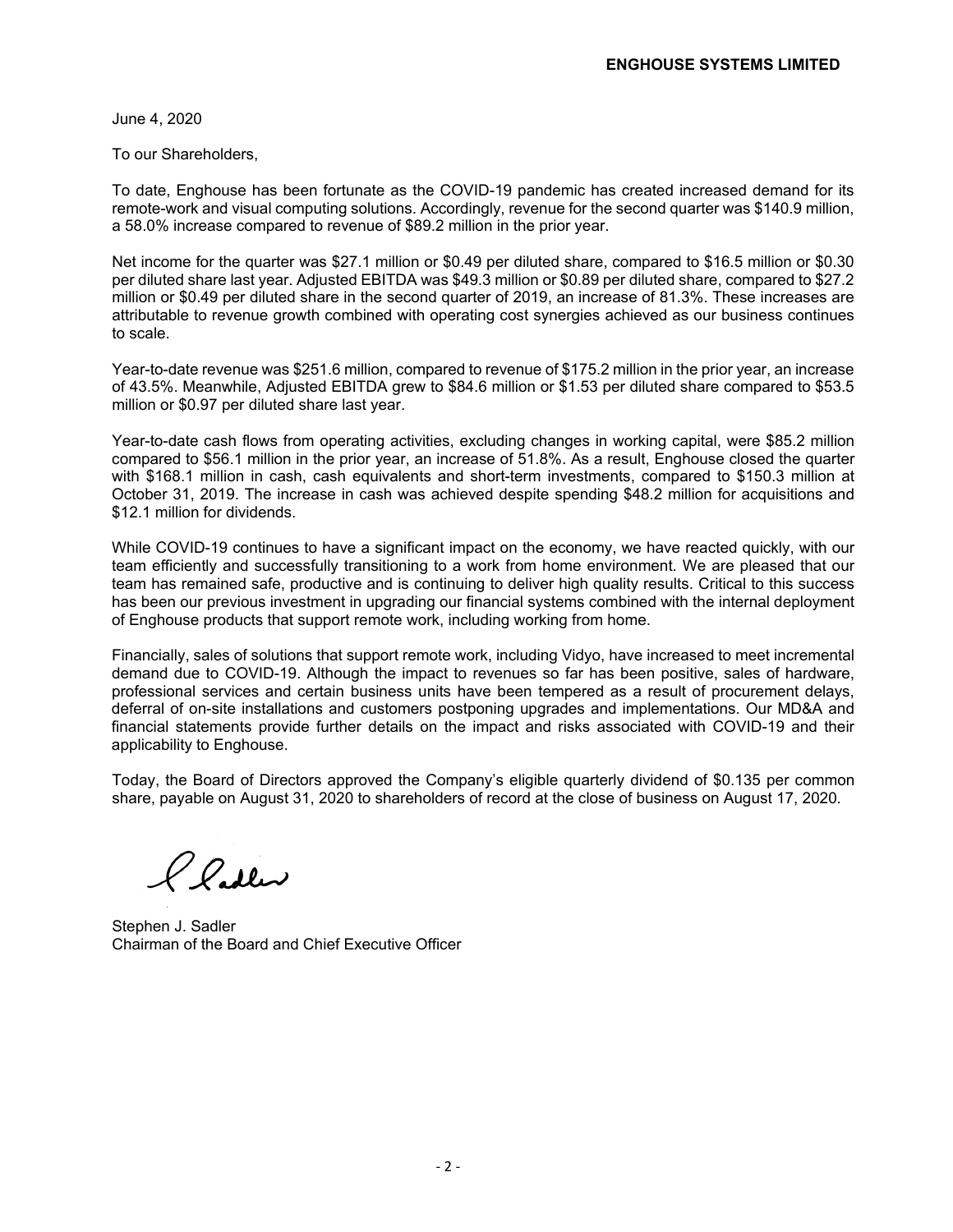June 4, 2020

To our Shareholders,

To date, Enghouse has been fortunate as the COVID-19 pandemic has created increased demand for its remote-work and visual computing solutions. Accordingly, revenue for the second quarter was \$140.9 million, a 58.0% increase compared to revenue of \$89.2 million in the prior year.

Net income for the quarter was \$27.1 million or \$0.49 per diluted share, compared to \$16.5 million or \$0.30 per diluted share last year. Adjusted EBITDA was \$49.3 million or \$0.89 per diluted share, compared to \$27.2 million or \$0.49 per diluted share in the second quarter of 2019, an increase of 81.3%. These increases are attributable to revenue growth combined with operating cost synergies achieved as our business continues to scale.

Year-to-date revenue was \$251.6 million, compared to revenue of \$175.2 million in the prior year, an increase of 43.5%. Meanwhile, Adjusted EBITDA grew to \$84.6 million or \$1.53 per diluted share compared to \$53.5 million or \$0.97 per diluted share last year.

Year-to-date cash flows from operating activities, excluding changes in working capital, were \$85.2 million compared to \$56.1 million in the prior year, an increase of 51.8%. As a result, Enghouse closed the quarter with \$168.1 million in cash, cash equivalents and short-term investments, compared to \$150.3 million at October 31, 2019. The increase in cash was achieved despite spending \$48.2 million for acquisitions and \$12.1 million for dividends.

While COVID-19 continues to have a significant impact on the economy, we have reacted quickly, with our team efficiently and successfully transitioning to a work from home environment. We are pleased that our team has remained safe, productive and is continuing to deliver high quality results. Critical to this success has been our previous investment in upgrading our financial systems combined with the internal deployment of Enghouse products that support remote work, including working from home.

Financially, sales of solutions that support remote work, including Vidyo, have increased to meet incremental demand due to COVID-19. Although the impact to revenues so far has been positive, sales of hardware, professional services and certain business units have been tempered as a result of procurement delays, deferral of on-site installations and customers postponing upgrades and implementations. Our MD&A and financial statements provide further details on the impact and risks associated with COVID-19 and their applicability to Enghouse.

Today, the Board of Directors approved the Company's eligible quarterly dividend of \$0.135 per common share, payable on August 31, 2020 to shareholders of record at the close of business on August 17, 2020.

Pladler

Stephen J. Sadler Chairman of the Board and Chief Executive Officer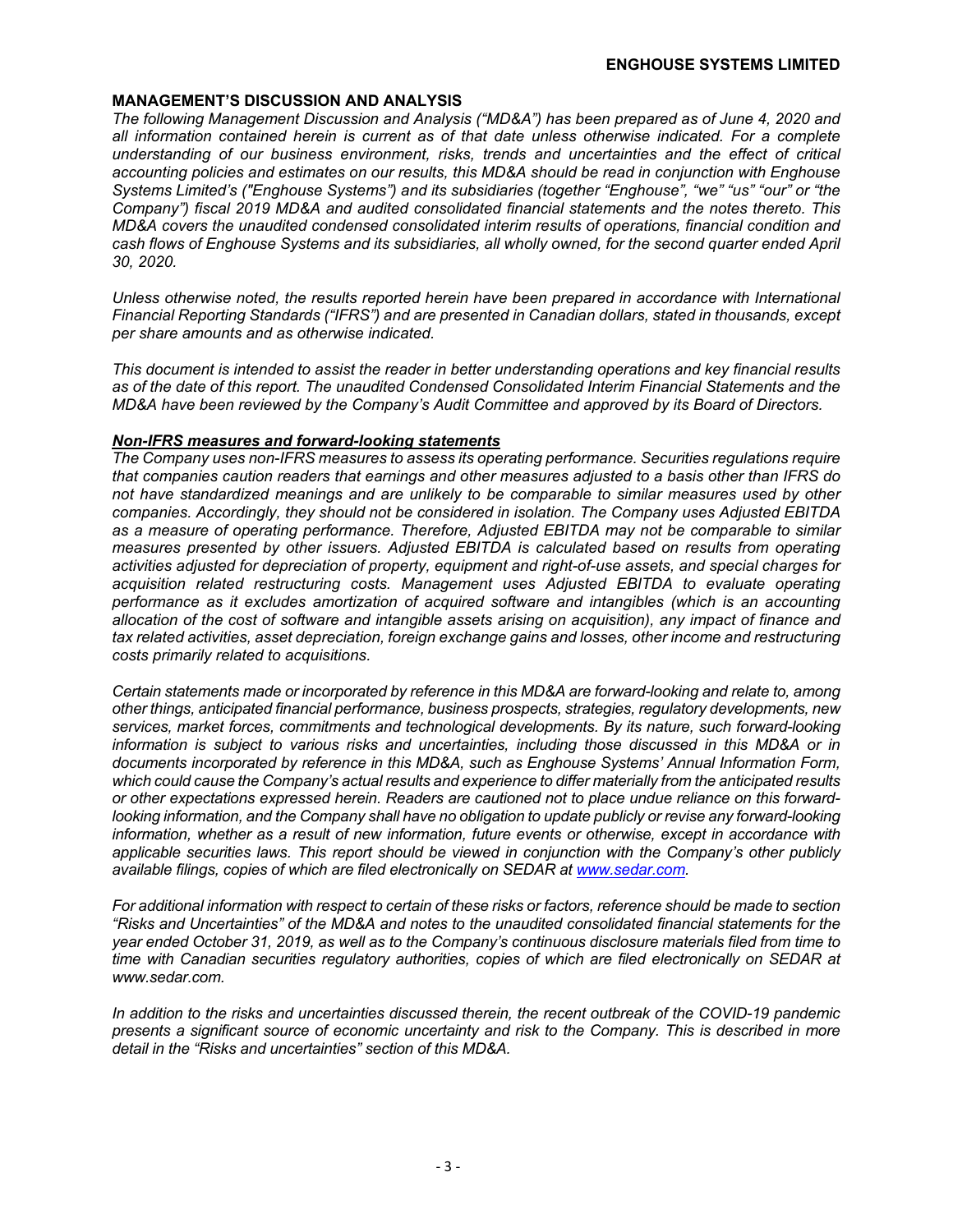#### **MANAGEMENT'S DISCUSSION AND ANALYSIS**

*The following Management Discussion and Analysis ("MD&A") has been prepared as of June 4, 2020 and all information contained herein is current as of that date unless otherwise indicated. For a complete understanding of our business environment, risks, trends and uncertainties and the effect of critical accounting policies and estimates on our results, this MD&A should be read in conjunction with Enghouse Systems Limited's ("Enghouse Systems") and its subsidiaries (together "Enghouse", "we" "us" "our" or "the Company") fiscal 2019 MD&A and audited consolidated financial statements and the notes thereto. This MD&A covers the unaudited condensed consolidated interim results of operations, financial condition and cash flows of Enghouse Systems and its subsidiaries, all wholly owned, for the second quarter ended April 30, 2020.*

*Unless otherwise noted, the results reported herein have been prepared in accordance with International Financial Reporting Standards ("IFRS") and are presented in Canadian dollars, stated in thousands, except per share amounts and as otherwise indicated.*

*This document is intended to assist the reader in better understanding operations and key financial results as of the date of this report. The unaudited Condensed Consolidated Interim Financial Statements and the MD&A have been reviewed by the Company's Audit Committee and approved by its Board of Directors.* 

#### *Non-IFRS measures and forward-looking statements*

*The Company uses non-IFRS measures to assess its operating performance. Securities regulations require that companies caution readers that earnings and other measures adjusted to a basis other than IFRS do not have standardized meanings and are unlikely to be comparable to similar measures used by other companies. Accordingly, they should not be considered in isolation. The Company uses Adjusted EBITDA as a measure of operating performance. Therefore, Adjusted EBITDA may not be comparable to similar measures presented by other issuers. Adjusted EBITDA is calculated based on results from operating activities adjusted for depreciation of property, equipment and right-of-use assets, and special charges for acquisition related restructuring costs. Management uses Adjusted EBITDA to evaluate operating performance as it excludes amortization of acquired software and intangibles (which is an accounting allocation of the cost of software and intangible assets arising on acquisition), any impact of finance and tax related activities, asset depreciation, foreign exchange gains and losses, other income and restructuring costs primarily related to acquisitions.*

*Certain statements made or incorporated by reference in this MD&A are forward-looking and relate to, among other things, anticipated financial performance, business prospects, strategies, regulatory developments, new services, market forces, commitments and technological developments. By its nature, such forward-looking information is subject to various risks and uncertainties, including those discussed in this MD&A or in documents incorporated by reference in this MD&A, such as Enghouse Systems' Annual Information Form, which could cause the Company's actual results and experience to differ materially from the anticipated results or other expectations expressed herein. Readers are cautioned not to place undue reliance on this forwardlooking information, and the Company shall have no obligation to update publicly or revise any forward-looking information, whether as a result of new information, future events or otherwise, except in accordance with applicable securities laws. This report should be viewed in conjunction with the Company's other publicly available filings, copies of which are filed electronically on SEDAR at www.sedar.com.*

*For additional information with respect to certain of these risks or factors, reference should be made to section "Risks and Uncertainties" of the MD&A and notes to the unaudited consolidated financial statements for the year ended October 31, 2019, as well as to the Company's continuous disclosure materials filed from time to time with Canadian securities regulatory authorities, copies of which are filed electronically on SEDAR at www.sedar.com.*

*In addition to the risks and uncertainties discussed therein, the recent outbreak of the COVID-19 pandemic presents a significant source of economic uncertainty and risk to the Company. This is described in more detail in the "Risks and uncertainties" section of this MD&A.*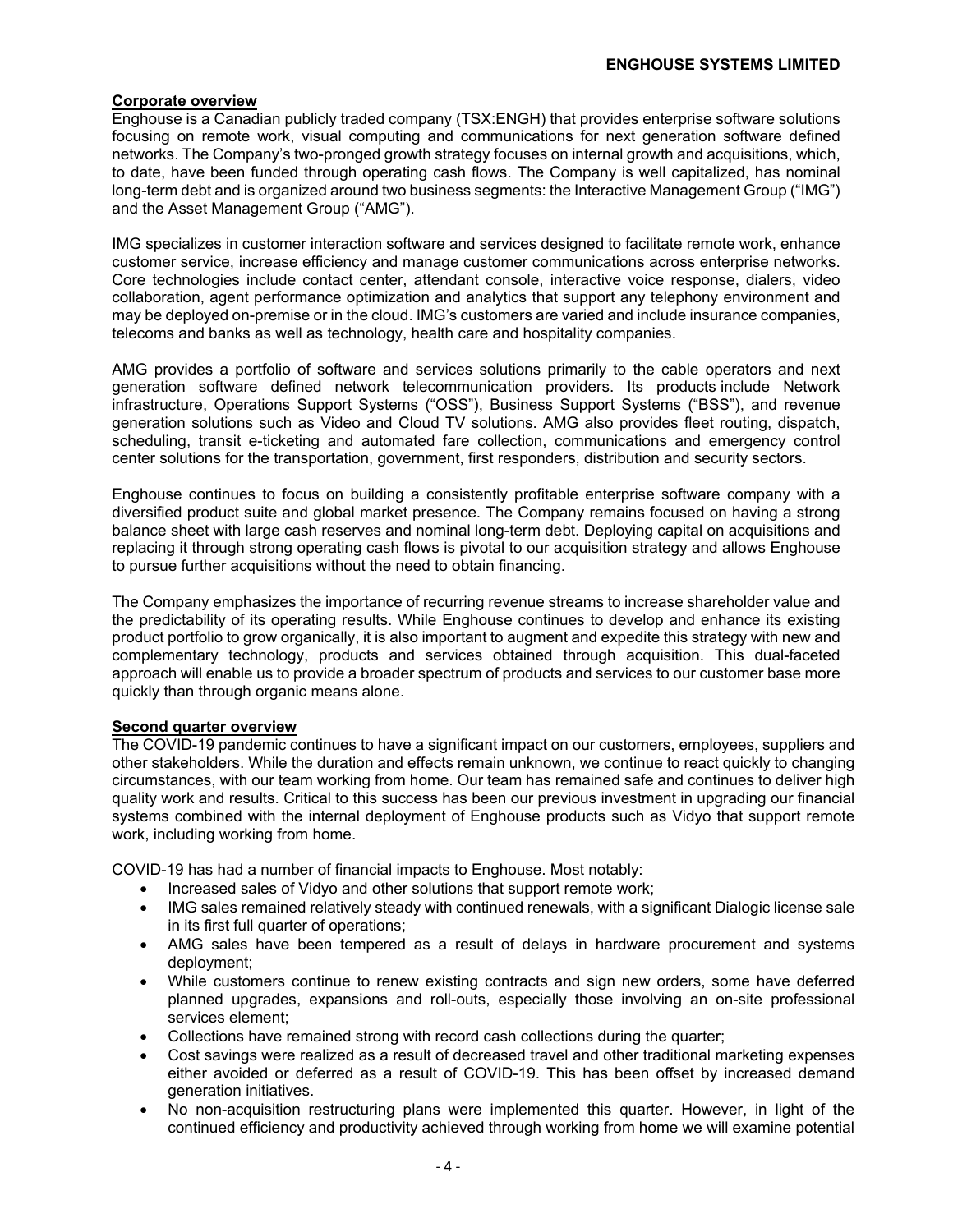#### **Corporate overview**

Enghouse is a Canadian publicly traded company (TSX:ENGH) that provides enterprise software solutions focusing on remote work, visual computing and communications for next generation software defined networks. The Company's two-pronged growth strategy focuses on internal growth and acquisitions, which, to date, have been funded through operating cash flows. The Company is well capitalized, has nominal long-term debt and is organized around two business segments: the Interactive Management Group ("IMG") and the Asset Management Group ("AMG").

IMG specializes in customer interaction software and services designed to facilitate remote work, enhance customer service, increase efficiency and manage customer communications across enterprise networks. Core technologies include contact center, attendant console, interactive voice response, dialers, video collaboration, agent performance optimization and analytics that support any telephony environment and may be deployed on-premise or in the cloud. IMG's customers are varied and include insurance companies, telecoms and banks as well as technology, health care and hospitality companies.

AMG provides a portfolio of software and services solutions primarily to the cable operators and next generation software defined network telecommunication providers. Its products include Network infrastructure, Operations Support Systems ("OSS"), Business Support Systems ("BSS"), and revenue generation solutions such as Video and Cloud TV solutions. AMG also provides fleet routing, dispatch, scheduling, transit e-ticketing and automated fare collection, communications and emergency control center solutions for the transportation, government, first responders, distribution and security sectors.

Enghouse continues to focus on building a consistently profitable enterprise software company with a diversified product suite and global market presence. The Company remains focused on having a strong balance sheet with large cash reserves and nominal long-term debt. Deploying capital on acquisitions and replacing it through strong operating cash flows is pivotal to our acquisition strategy and allows Enghouse to pursue further acquisitions without the need to obtain financing.

The Company emphasizes the importance of recurring revenue streams to increase shareholder value and the predictability of its operating results. While Enghouse continues to develop and enhance its existing product portfolio to grow organically, it is also important to augment and expedite this strategy with new and complementary technology, products and services obtained through acquisition. This dual-faceted approach will enable us to provide a broader spectrum of products and services to our customer base more quickly than through organic means alone.

#### **Second quarter overview**

The COVID-19 pandemic continues to have a significant impact on our customers, employees, suppliers and other stakeholders. While the duration and effects remain unknown, we continue to react quickly to changing circumstances, with our team working from home. Our team has remained safe and continues to deliver high quality work and results. Critical to this success has been our previous investment in upgrading our financial systems combined with the internal deployment of Enghouse products such as Vidyo that support remote work, including working from home.

COVID-19 has had a number of financial impacts to Enghouse. Most notably:

- Increased sales of Vidyo and other solutions that support remote work;
- IMG sales remained relatively steady with continued renewals, with a significant Dialogic license sale in its first full quarter of operations;
- AMG sales have been tempered as a result of delays in hardware procurement and systems deployment;
- While customers continue to renew existing contracts and sign new orders, some have deferred planned upgrades, expansions and roll-outs, especially those involving an on-site professional services element;
- Collections have remained strong with record cash collections during the quarter;
- Cost savings were realized as a result of decreased travel and other traditional marketing expenses either avoided or deferred as a result of COVID-19. This has been offset by increased demand generation initiatives.
- No non-acquisition restructuring plans were implemented this quarter. However, in light of the continued efficiency and productivity achieved through working from home we will examine potential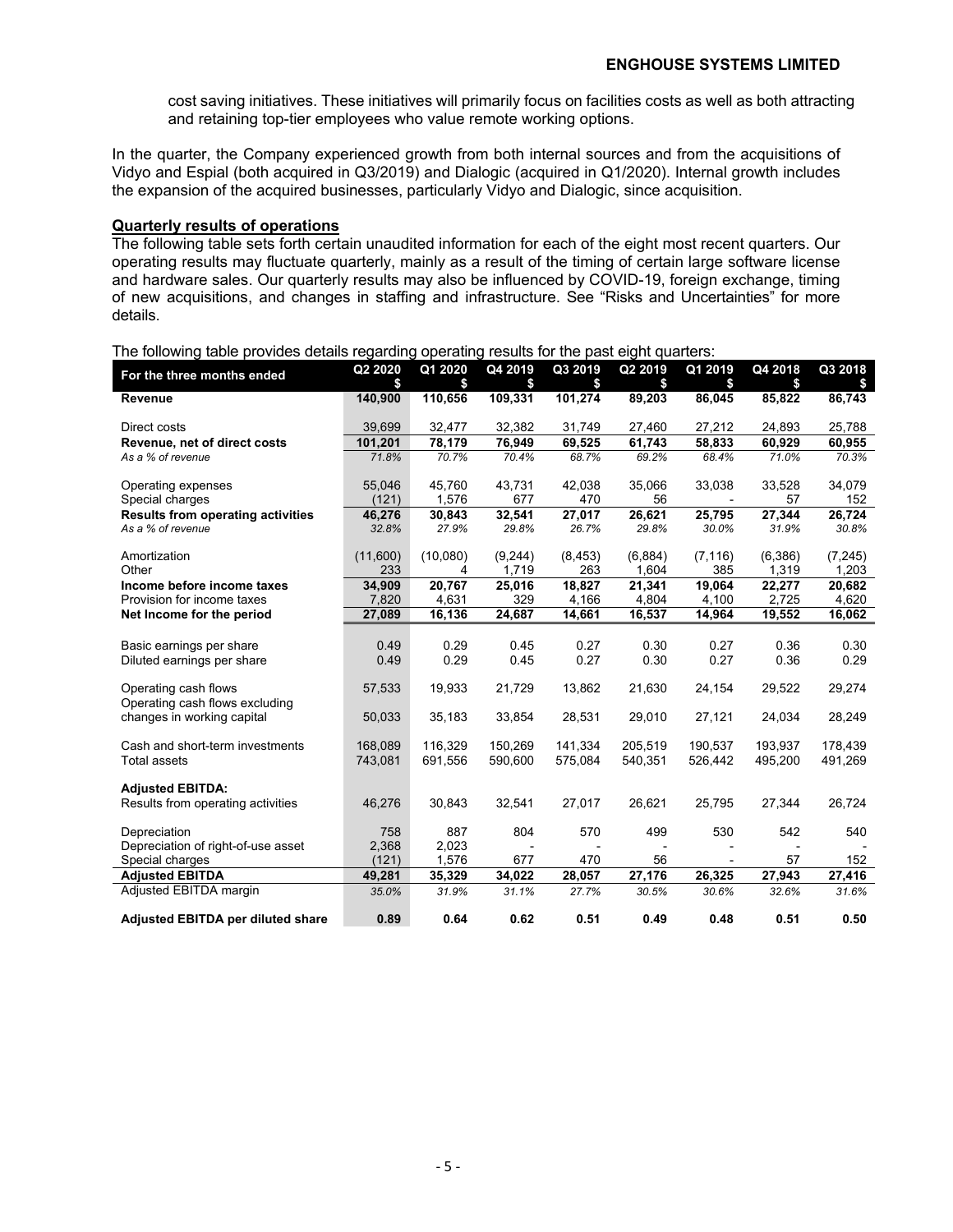cost saving initiatives. These initiatives will primarily focus on facilities costs as well as both attracting and retaining top-tier employees who value remote working options.

In the quarter, the Company experienced growth from both internal sources and from the acquisitions of Vidyo and Espial (both acquired in Q3/2019) and Dialogic (acquired in Q1/2020). Internal growth includes the expansion of the acquired businesses, particularly Vidyo and Dialogic, since acquisition.

#### **Quarterly results of operations**

The following table sets forth certain unaudited information for each of the eight most recent quarters. Our operating results may fluctuate quarterly, mainly as a result of the timing of certain large software license and hardware sales. Our quarterly results may also be influenced by COVID-19, foreign exchange, timing of new acquisitions, and changes in staffing and infrastructure. See "Risks and Uncertainties" for more details.

| For the three months ended               | Q2 2020  | Q1 2020  | Q4 2019        | Q3 2019  | Q <sub>2</sub> 2019 | Q1 2019  | Q4 2018 | Q3 2018  |
|------------------------------------------|----------|----------|----------------|----------|---------------------|----------|---------|----------|
|                                          | \$       | \$       | \$             | \$       | \$                  | \$       | \$      | S.       |
| Revenue                                  | 140,900  | 110,656  | 109,331        | 101,274  | 89,203              | 86,045   | 85,822  | 86,743   |
| Direct costs                             | 39,699   | 32,477   | 32,382         | 31,749   | 27,460              | 27,212   | 24,893  | 25,788   |
| Revenue, net of direct costs             | 101,201  | 78,179   | 76,949         | 69,525   | 61,743              | 58,833   | 60,929  | 60,955   |
| As a % of revenue                        | 71.8%    | 70.7%    | 70.4%          | 68.7%    | 69.2%               | 68.4%    | 71.0%   | 70.3%    |
| Operating expenses                       | 55,046   | 45,760   | 43,731         | 42,038   | 35,066              | 33,038   | 33,528  | 34,079   |
| Special charges                          | (121)    | 1,576    | 677            | 470      | 56                  |          | 57      | 152      |
| <b>Results from operating activities</b> | 46,276   | 30,843   | 32,541         | 27,017   | 26,621              | 25,795   | 27,344  | 26,724   |
| As a % of revenue                        | 32.8%    | 27.9%    | 29.8%          | 26.7%    | 29.8%               | 30.0%    | 31.9%   | 30.8%    |
| Amortization                             | (11,600) | (10,080) | (9,244)        | (8, 453) | (6,884)             | (7, 116) | (6,386) | (7, 245) |
| Other                                    | 233      | 4        | 1.719          | 263      | 1.604               | 385      | 1,319   | 1.203    |
| Income before income taxes               | 34,909   | 20,767   | 25,016         | 18,827   | 21,341              | 19,064   | 22,277  | 20,682   |
| Provision for income taxes               | 7,820    | 4,631    | 329            | 4,166    | 4,804               | 4,100    | 2,725   | 4,620    |
| Net Income for the period                | 27,089   | 16,136   | 24,687         | 14,661   | 16,537              | 14,964   | 19,552  | 16,062   |
|                                          |          |          |                |          |                     |          |         |          |
| Basic earnings per share                 | 0.49     | 0.29     | 0.45           | 0.27     | 0.30                | 0.27     | 0.36    | 0.30     |
| Diluted earnings per share               | 0.49     | 0.29     | 0.45           | 0.27     | 0.30                | 0.27     | 0.36    | 0.29     |
| Operating cash flows                     | 57,533   | 19,933   | 21,729         | 13.862   | 21,630              | 24,154   | 29,522  | 29,274   |
| Operating cash flows excluding           |          |          |                |          |                     |          |         |          |
| changes in working capital               | 50,033   | 35,183   | 33,854         | 28,531   | 29,010              | 27,121   | 24,034  | 28,249   |
| Cash and short-term investments          | 168.089  | 116.329  | 150.269        | 141.334  | 205.519             | 190.537  | 193.937 | 178.439  |
| <b>Total assets</b>                      | 743,081  | 691,556  | 590,600        | 575.084  | 540,351             | 526,442  | 495,200 | 491,269  |
| <b>Adjusted EBITDA:</b>                  |          |          |                |          |                     |          |         |          |
| Results from operating activities        | 46,276   | 30,843   | 32,541         | 27,017   | 26,621              | 25,795   | 27,344  | 26,724   |
| Depreciation                             | 758      | 887      | 804            | 570      | 499                 | 530      | 542     | 540      |
| Depreciation of right-of-use asset       | 2,368    | 2,023    | $\blacksquare$ |          |                     |          |         |          |
| Special charges                          | (121)    | 1,576    | 677            | 470      | 56                  |          | 57      | 152      |
| <b>Adjusted EBITDA</b>                   | 49,281   | 35,329   | 34,022         | 28,057   | 27,176              | 26,325   | 27,943  | 27,416   |
| Adjusted EBITDA margin                   | 35.0%    | 31.9%    | 31.1%          | 27.7%    | 30.5%               | 30.6%    | 32.6%   | 31.6%    |
| <b>Adjusted EBITDA per diluted share</b> | 0.89     | 0.64     | 0.62           | 0.51     | 0.49                | 0.48     | 0.51    | 0.50     |

The following table provides details regarding operating results for the past eight quarters: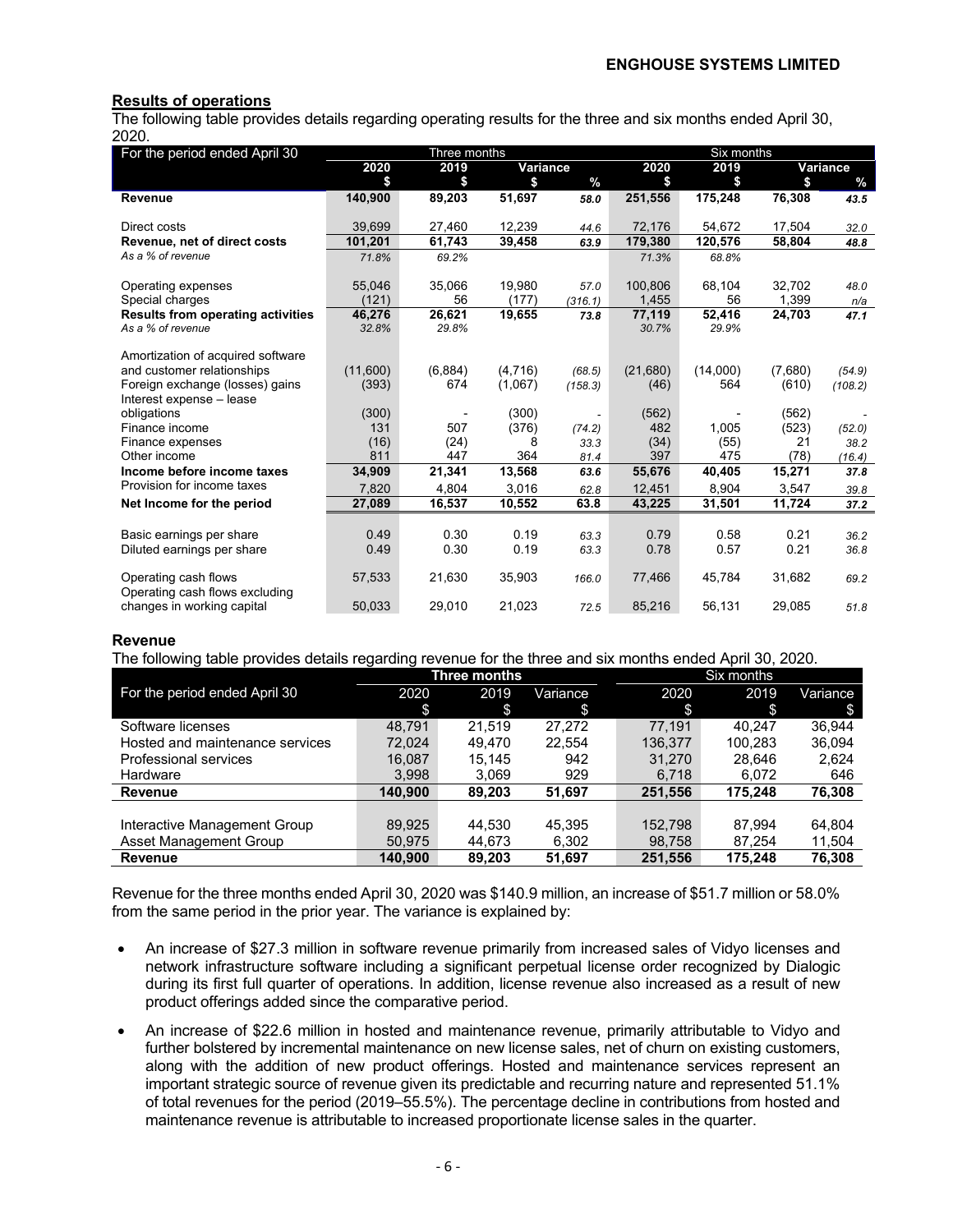#### **Results of operations**

The following table provides details regarding operating results for the three and six months ended April 30, 2020.

| For the period ended April 30                                   |          | Three months |          |                   | Six months |                 |         |               |  |
|-----------------------------------------------------------------|----------|--------------|----------|-------------------|------------|-----------------|---------|---------------|--|
|                                                                 | 2020     | 2019         | Variance |                   | 2020       | 2019            |         | Variance      |  |
|                                                                 | \$       | \$           | \$       | $\%$              | \$         | \$              | \$      | $\frac{0}{0}$ |  |
| <b>Revenue</b>                                                  | 140,900  | 89,203       | 51,697   | 58.0              | 251,556    | 175,248         | 76,308  | 43.5          |  |
|                                                                 |          |              |          |                   |            |                 |         |               |  |
| Direct costs                                                    | 39,699   | 27,460       | 12,239   | 44.6              | 72,176     | 54,672          | 17,504  | 32.0          |  |
| Revenue, net of direct costs                                    | 101,201  | 61,743       | 39,458   | 63.9              | 179,380    | 120,576         | 58,804  | 48.8          |  |
| As a % of revenue                                               | 71.8%    | 69.2%        |          |                   | 71.3%      | 68.8%           |         |               |  |
|                                                                 |          |              |          |                   |            |                 |         |               |  |
| Operating expenses                                              | 55,046   | 35,066       | 19,980   | 57.0              | 100.806    | 68,104          | 32,702  | 48.0          |  |
| Special charges                                                 | (121)    | 56           | (177)    | (316.1)           | 1,455      | 56              | 1,399   | n/a           |  |
| <b>Results from operating activities</b>                        | 46,276   | 26,621       | 19,655   | 73.8              | 77,119     | 52,416          | 24,703  | 47.1          |  |
| As a % of revenue                                               | 32.8%    | 29.8%        |          |                   | 30.7%      | 29.9%           |         |               |  |
|                                                                 |          |              |          |                   |            |                 |         |               |  |
| Amortization of acquired software<br>and customer relationships | (11,600) | (6,884)      | (4,716)  |                   | (21,680)   |                 | (7,680) |               |  |
| Foreign exchange (losses) gains                                 | (393)    | 674          | (1,067)  | (68.5)<br>(158.3) | (46)       | (14,000)<br>564 | (610)   | (54.9)        |  |
| Interest expense - lease                                        |          |              |          |                   |            |                 |         | (108.2)       |  |
| obligations                                                     | (300)    |              | (300)    |                   | (562)      |                 | (562)   |               |  |
| Finance income                                                  | 131      | 507          | (376)    | (74.2)            | 482        | 1.005           | (523)   | (52.0)        |  |
| Finance expenses                                                | (16)     | (24)         | 8        | 33.3              | (34)       | (55)            | 21      | 38.2          |  |
| Other income                                                    | 811      | 447          | 364      | 81.4              | 397        | 475             | (78)    | (16.4)        |  |
| Income before income taxes                                      | 34,909   | 21,341       | 13,568   | 63.6              | 55,676     | 40,405          | 15,271  | 37.8          |  |
| Provision for income taxes                                      | 7,820    | 4,804        | 3,016    | 62.8              | 12,451     | 8,904           | 3,547   | 39.8          |  |
| Net Income for the period                                       | 27,089   | 16,537       | 10,552   | 63.8              | 43,225     | 31,501          | 11,724  | 37.2          |  |
|                                                                 |          |              |          |                   |            |                 |         |               |  |
| Basic earnings per share                                        | 0.49     | 0.30         | 0.19     | 63.3              | 0.79       | 0.58            | 0.21    | 36.2          |  |
| Diluted earnings per share                                      | 0.49     | 0.30         | 0.19     | 63.3              | 0.78       | 0.57            | 0.21    | 36.8          |  |
|                                                                 |          |              |          |                   |            |                 |         |               |  |
| Operating cash flows                                            | 57,533   | 21,630       | 35,903   | 166.0             | 77,466     | 45,784          | 31,682  | 69.2          |  |
| Operating cash flows excluding                                  |          |              |          |                   |            |                 |         |               |  |
| changes in working capital                                      | 50,033   | 29.010       | 21,023   | 72.5              | 85,216     | 56,131          | 29,085  | 51.8          |  |

#### **Revenue**

The following table provides details regarding revenue for the three and six months ended April 30, 2020.

|                                 |         | Three months |          |         | Six months |          |
|---------------------------------|---------|--------------|----------|---------|------------|----------|
| For the period ended April 30   | 2020    | 2019         | Variance | 2020    | 2019       | Variance |
|                                 | \$      | \$           | \$       | \$      | \$         | S.       |
| Software licenses               | 48.791  | 21.519       | 27.272   | 77.191  | 40.247     | 36.944   |
| Hosted and maintenance services | 72.024  | 49.470       | 22.554   | 136,377 | 100.283    | 36,094   |
| Professional services           | 16,087  | 15,145       | 942      | 31,270  | 28.646     | 2,624    |
| Hardware                        | 3,998   | 3,069        | 929      | 6,718   | 6,072      | 646      |
| Revenue                         | 140.900 | 89,203       | 51,697   | 251,556 | 175.248    | 76,308   |
|                                 |         |              |          |         |            |          |
| Interactive Management Group    | 89,925  | 44,530       | 45.395   | 152,798 | 87.994     | 64.804   |
| Asset Management Group          | 50,975  | 44,673       | 6,302    | 98,758  | 87.254     | 11,504   |
| <b>Revenue</b>                  | 140.900 | 89,203       | 51,697   | 251,556 | 175,248    | 76,308   |

Revenue for the three months ended April 30, 2020 was \$140.9 million, an increase of \$51.7 million or 58.0% from the same period in the prior year. The variance is explained by:

- An increase of \$27.3 million in software revenue primarily from increased sales of Vidyo licenses and network infrastructure software including a significant perpetual license order recognized by Dialogic during its first full quarter of operations. In addition, license revenue also increased as a result of new product offerings added since the comparative period.
- An increase of \$22.6 million in hosted and maintenance revenue, primarily attributable to Vidyo and further bolstered by incremental maintenance on new license sales, net of churn on existing customers, along with the addition of new product offerings. Hosted and maintenance services represent an important strategic source of revenue given its predictable and recurring nature and represented 51.1% of total revenues for the period (2019–55.5%). The percentage decline in contributions from hosted and maintenance revenue is attributable to increased proportionate license sales in the quarter.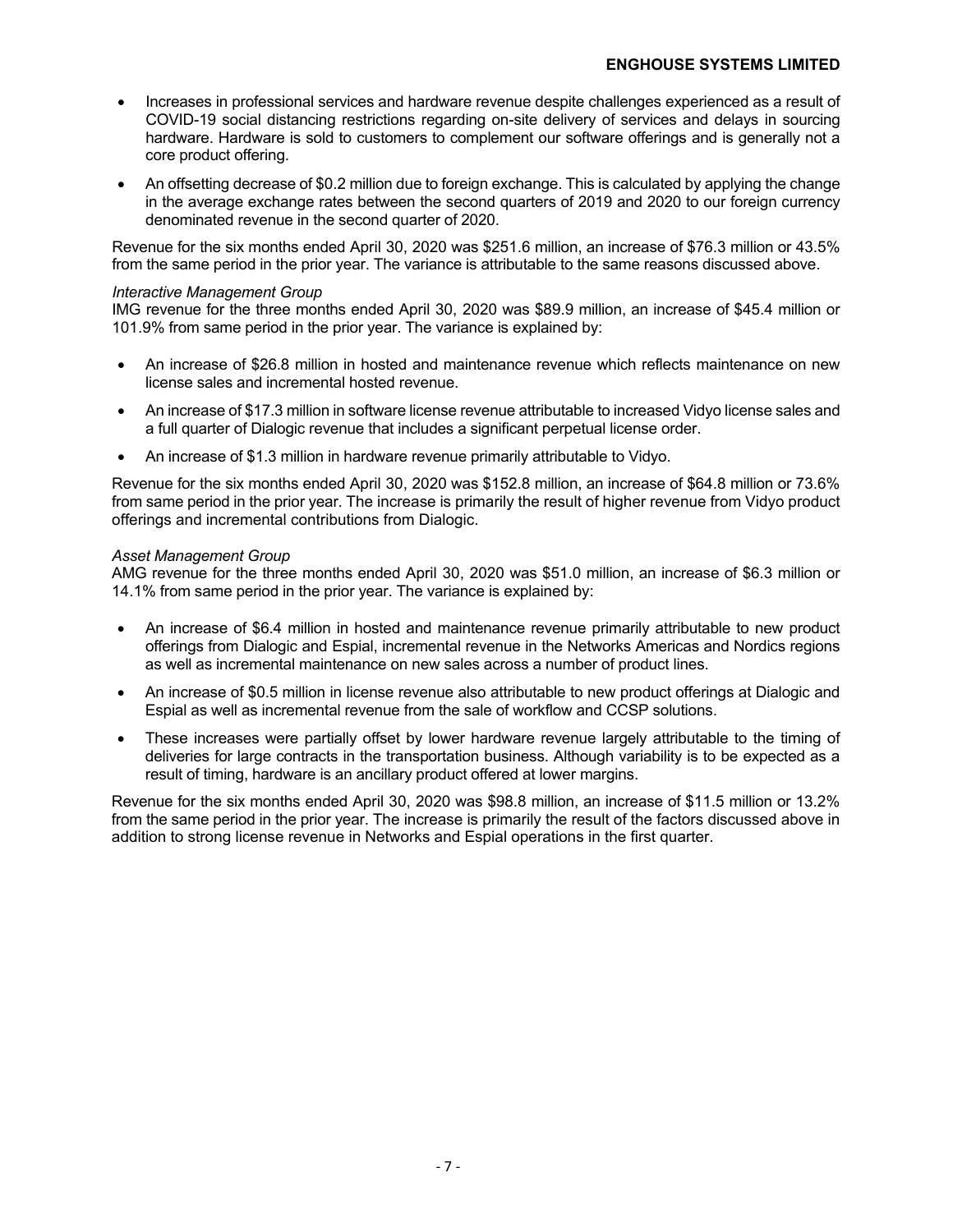- Increases in professional services and hardware revenue despite challenges experienced as a result of COVID-19 social distancing restrictions regarding on-site delivery of services and delays in sourcing hardware. Hardware is sold to customers to complement our software offerings and is generally not a core product offering.
- An offsetting decrease of \$0.2 million due to foreign exchange. This is calculated by applying the change in the average exchange rates between the second quarters of 2019 and 2020 to our foreign currency denominated revenue in the second quarter of 2020.

Revenue for the six months ended April 30, 2020 was \$251.6 million, an increase of \$76.3 million or 43.5% from the same period in the prior year. The variance is attributable to the same reasons discussed above.

#### *Interactive Management Group*

IMG revenue for the three months ended April 30, 2020 was \$89.9 million, an increase of \$45.4 million or 101.9% from same period in the prior year. The variance is explained by:

- An increase of \$26.8 million in hosted and maintenance revenue which reflects maintenance on new license sales and incremental hosted revenue.
- An increase of \$17.3 million in software license revenue attributable to increased Vidyo license sales and a full quarter of Dialogic revenue that includes a significant perpetual license order.
- An increase of \$1.3 million in hardware revenue primarily attributable to Vidyo.

Revenue for the six months ended April 30, 2020 was \$152.8 million, an increase of \$64.8 million or 73.6% from same period in the prior year. The increase is primarily the result of higher revenue from Vidyo product offerings and incremental contributions from Dialogic.

#### *Asset Management Group*

AMG revenue for the three months ended April 30, 2020 was \$51.0 million, an increase of \$6.3 million or 14.1% from same period in the prior year. The variance is explained by:

- An increase of \$6.4 million in hosted and maintenance revenue primarily attributable to new product offerings from Dialogic and Espial, incremental revenue in the Networks Americas and Nordics regions as well as incremental maintenance on new sales across a number of product lines.
- An increase of \$0.5 million in license revenue also attributable to new product offerings at Dialogic and Espial as well as incremental revenue from the sale of workflow and CCSP solutions.
- These increases were partially offset by lower hardware revenue largely attributable to the timing of deliveries for large contracts in the transportation business. Although variability is to be expected as a result of timing, hardware is an ancillary product offered at lower margins.

Revenue for the six months ended April 30, 2020 was \$98.8 million, an increase of \$11.5 million or 13.2% from the same period in the prior year. The increase is primarily the result of the factors discussed above in addition to strong license revenue in Networks and Espial operations in the first quarter.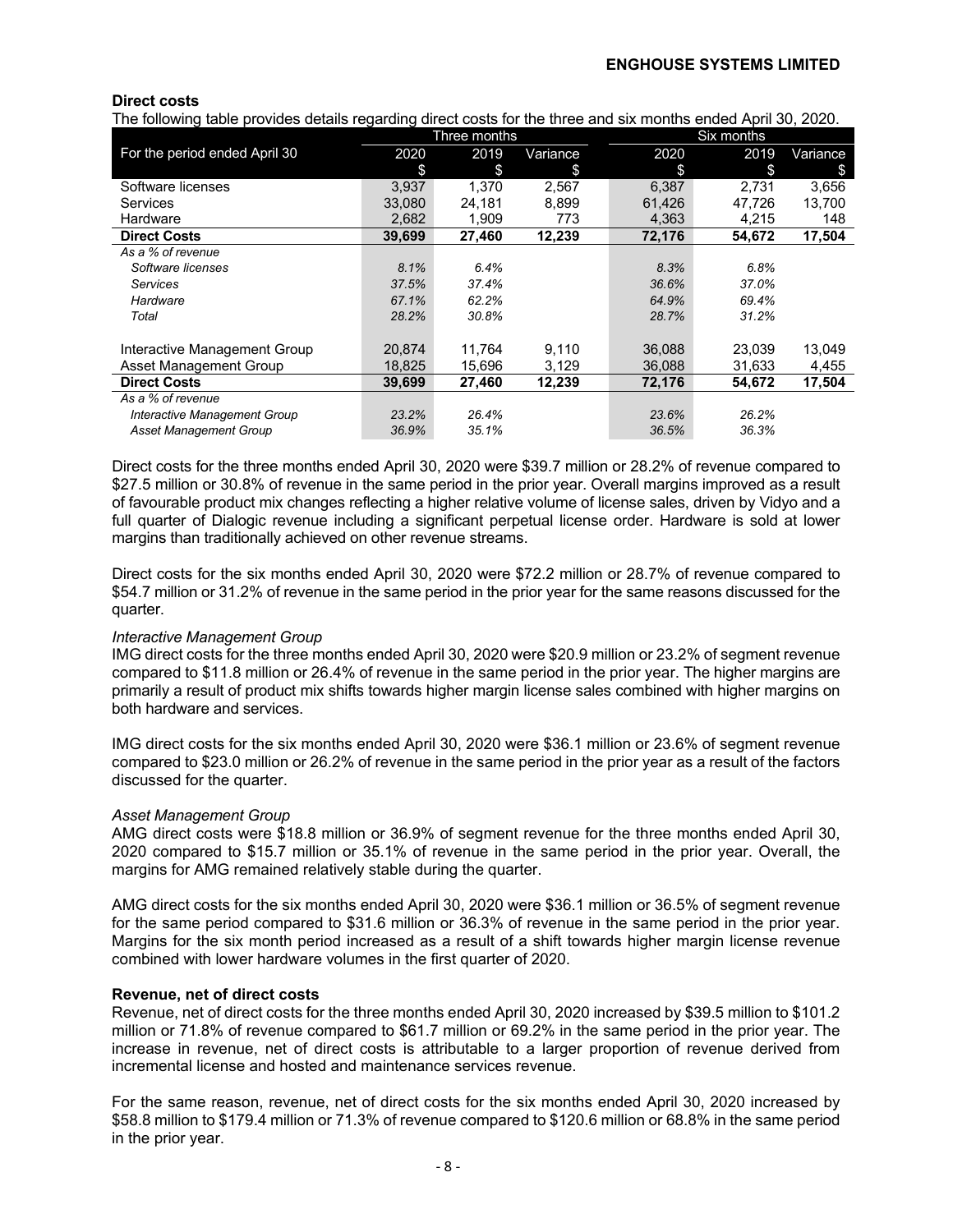#### **Direct costs**

The following table provides details regarding direct costs for the three and six months ended April 30, 2020.

| ັ                             |        | Three months |          |        | <b>Six months</b> |          |
|-------------------------------|--------|--------------|----------|--------|-------------------|----------|
| For the period ended April 30 | 2020   | 2019         | Variance | 2020   | 2019              | Variance |
|                               | \$     | \$           | \$       | \$     | \$                | \$       |
| Software licenses             | 3,937  | 1.370        | 2,567    | 6,387  | 2,731             | 3,656    |
| Services                      | 33,080 | 24,181       | 8,899    | 61,426 | 47,726            | 13,700   |
| Hardware                      | 2,682  | 1,909        | 773      | 4,363  | 4,215             | 148      |
| <b>Direct Costs</b>           | 39,699 | 27,460       | 12,239   | 72,176 | 54,672            | 17,504   |
| As a % of revenue             |        |              |          |        |                   |          |
| Software licenses             | 8.1%   | 6.4%         |          | 8.3%   | 6.8%              |          |
| <b>Services</b>               | 37.5%  | 37.4%        |          | 36.6%  | 37.0%             |          |
| Hardware                      | 67.1%  | 62.2%        |          | 64.9%  | 69.4%             |          |
| Total                         | 28.2%  | 30.8%        |          | 28.7%  | 31.2%             |          |
|                               |        |              |          |        |                   |          |
| Interactive Management Group  | 20.874 | 11,764       | 9,110    | 36,088 | 23,039            | 13,049   |
| Asset Management Group        | 18,825 | 15,696       | 3,129    | 36,088 | 31,633            | 4,455    |
| <b>Direct Costs</b>           | 39.699 | 27,460       | 12,239   | 72,176 | 54.672            | 17,504   |
| As a % of revenue             |        |              |          |        |                   |          |
| Interactive Management Group  | 23.2%  | 26.4%        |          | 23.6%  | 26.2%             |          |
| <b>Asset Management Group</b> | 36.9%  | 35.1%        |          | 36.5%  | 36.3%             |          |

Direct costs for the three months ended April 30, 2020 were \$39.7 million or 28.2% of revenue compared to \$27.5 million or 30.8% of revenue in the same period in the prior year. Overall margins improved as a result of favourable product mix changes reflecting a higher relative volume of license sales, driven by Vidyo and a full quarter of Dialogic revenue including a significant perpetual license order. Hardware is sold at lower margins than traditionally achieved on other revenue streams.

Direct costs for the six months ended April 30, 2020 were \$72.2 million or 28.7% of revenue compared to \$54.7 million or 31.2% of revenue in the same period in the prior year for the same reasons discussed for the quarter.

#### *Interactive Management Group*

IMG direct costs for the three months ended April 30, 2020 were \$20.9 million or 23.2% of segment revenue compared to \$11.8 million or 26.4% of revenue in the same period in the prior year. The higher margins are primarily a result of product mix shifts towards higher margin license sales combined with higher margins on both hardware and services.

IMG direct costs for the six months ended April 30, 2020 were \$36.1 million or 23.6% of segment revenue compared to \$23.0 million or 26.2% of revenue in the same period in the prior year as a result of the factors discussed for the quarter.

#### *Asset Management Group*

AMG direct costs were \$18.8 million or 36.9% of segment revenue for the three months ended April 30, 2020 compared to \$15.7 million or 35.1% of revenue in the same period in the prior year. Overall, the margins for AMG remained relatively stable during the quarter.

AMG direct costs for the six months ended April 30, 2020 were \$36.1 million or 36.5% of segment revenue for the same period compared to \$31.6 million or 36.3% of revenue in the same period in the prior year. Margins for the six month period increased as a result of a shift towards higher margin license revenue combined with lower hardware volumes in the first quarter of 2020.

#### **Revenue, net of direct costs**

Revenue, net of direct costs for the three months ended April 30, 2020 increased by \$39.5 million to \$101.2 million or 71.8% of revenue compared to \$61.7 million or 69.2% in the same period in the prior year. The increase in revenue, net of direct costs is attributable to a larger proportion of revenue derived from incremental license and hosted and maintenance services revenue.

For the same reason, revenue, net of direct costs for the six months ended April 30, 2020 increased by \$58.8 million to \$179.4 million or 71.3% of revenue compared to \$120.6 million or 68.8% in the same period in the prior year.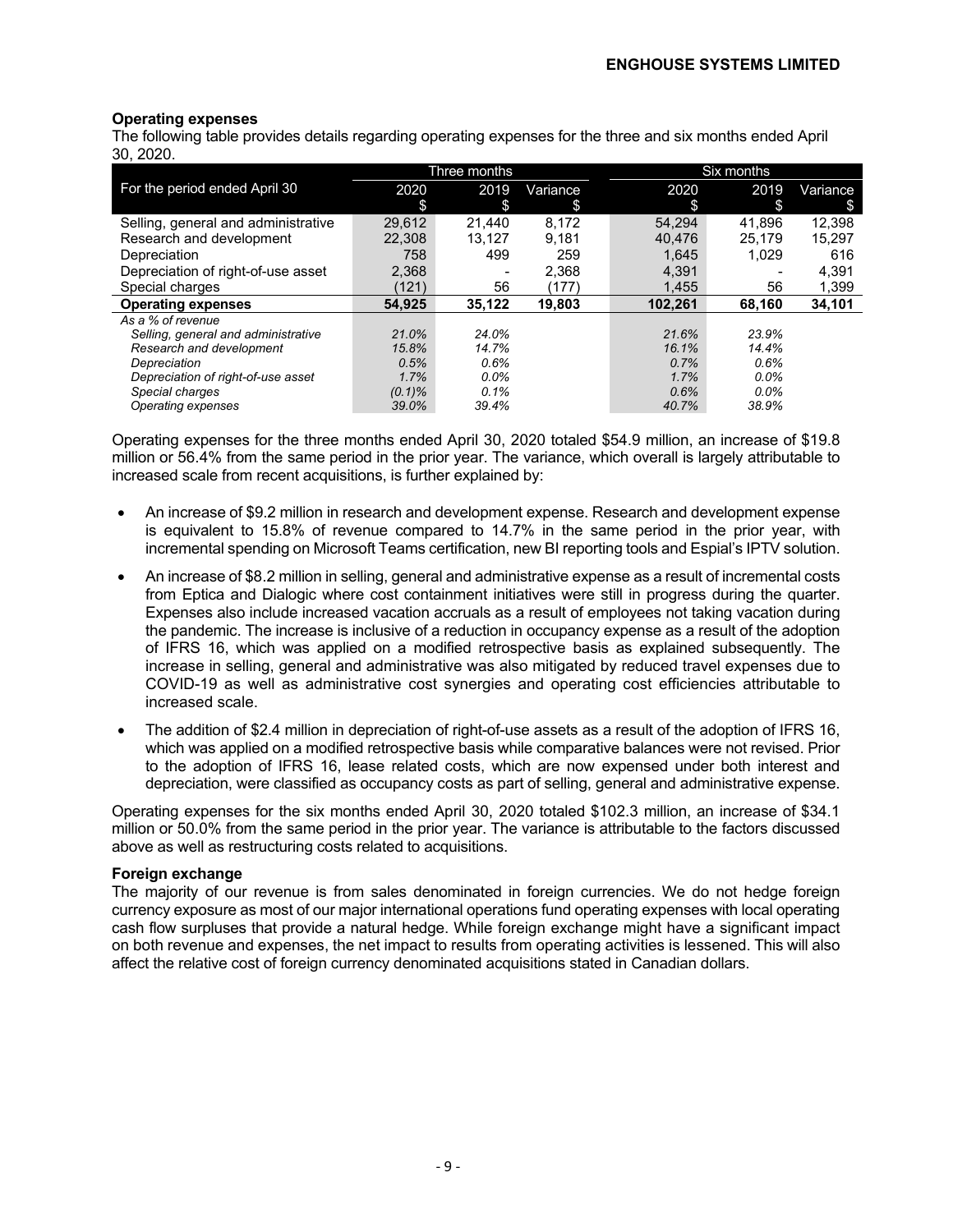#### **Operating expenses**

The following table provides details regarding operating expenses for the three and six months ended April 30, 2020.

|                                     |           | Three months             |          |         | Six months |          |
|-------------------------------------|-----------|--------------------------|----------|---------|------------|----------|
| For the period ended April 30       | 2020      | 2019                     | Variance | 2020    | 2019       | Variance |
|                                     | \$        | \$                       | \$       | \$      | \$         | S        |
| Selling, general and administrative | 29.612    | 21.440                   | 8,172    | 54.294  | 41.896     | 12,398   |
| Research and development            | 22.308    | 13.127                   | 9.181    | 40.476  | 25.179     | 15.297   |
| Depreciation                        | 758       | 499                      | 259      | 1.645   | 1.029      | 616      |
| Depreciation of right-of-use asset  | 2.368     | $\overline{\phantom{a}}$ | 2.368    | 4,391   |            | 4,391    |
| Special charges                     | (121)     | 56                       | (177)    | 1,455   | 56         | 1.399    |
| <b>Operating expenses</b>           | 54.925    | 35,122                   | 19.803   | 102.261 | 68.160     | 34,101   |
| As a % of revenue                   |           |                          |          |         |            |          |
| Selling, general and administrative | 21.0%     | 24.0%                    |          | 21.6%   | 23.9%      |          |
| Research and development            | 15.8%     | 14.7%                    |          | 16.1%   | 14.4%      |          |
| Depreciation                        | 0.5%      | 0.6%                     |          | 0.7%    | 0.6%       |          |
| Depreciation of right-of-use asset  | 1.7%      | $0.0\%$                  |          | 1.7%    | $0.0\%$    |          |
| Special charges                     | $(0.1)\%$ | 0.1%                     |          | 0.6%    | $0.0\%$    |          |
| Operating expenses                  | 39.0%     | 39.4%                    |          | 40.7%   | 38.9%      |          |

Operating expenses for the three months ended April 30, 2020 totaled \$54.9 million, an increase of \$19.8 million or 56.4% from the same period in the prior year. The variance, which overall is largely attributable to increased scale from recent acquisitions, is further explained by:

- An increase of \$9.2 million in research and development expense. Research and development expense is equivalent to 15.8% of revenue compared to 14.7% in the same period in the prior year, with incremental spending on Microsoft Teams certification, new BI reporting tools and Espial's IPTV solution.
- An increase of \$8.2 million in selling, general and administrative expense as a result of incremental costs from Eptica and Dialogic where cost containment initiatives were still in progress during the quarter. Expenses also include increased vacation accruals as a result of employees not taking vacation during the pandemic. The increase is inclusive of a reduction in occupancy expense as a result of the adoption of IFRS 16, which was applied on a modified retrospective basis as explained subsequently. The increase in selling, general and administrative was also mitigated by reduced travel expenses due to COVID-19 as well as administrative cost synergies and operating cost efficiencies attributable to increased scale.
- The addition of \$2.4 million in depreciation of right-of-use assets as a result of the adoption of IFRS 16, which was applied on a modified retrospective basis while comparative balances were not revised. Prior to the adoption of IFRS 16, lease related costs, which are now expensed under both interest and depreciation, were classified as occupancy costs as part of selling, general and administrative expense.

Operating expenses for the six months ended April 30, 2020 totaled \$102.3 million, an increase of \$34.1 million or 50.0% from the same period in the prior year. The variance is attributable to the factors discussed above as well as restructuring costs related to acquisitions.

#### **Foreign exchange**

The majority of our revenue is from sales denominated in foreign currencies. We do not hedge foreign currency exposure as most of our major international operations fund operating expenses with local operating cash flow surpluses that provide a natural hedge. While foreign exchange might have a significant impact on both revenue and expenses, the net impact to results from operating activities is lessened. This will also affect the relative cost of foreign currency denominated acquisitions stated in Canadian dollars.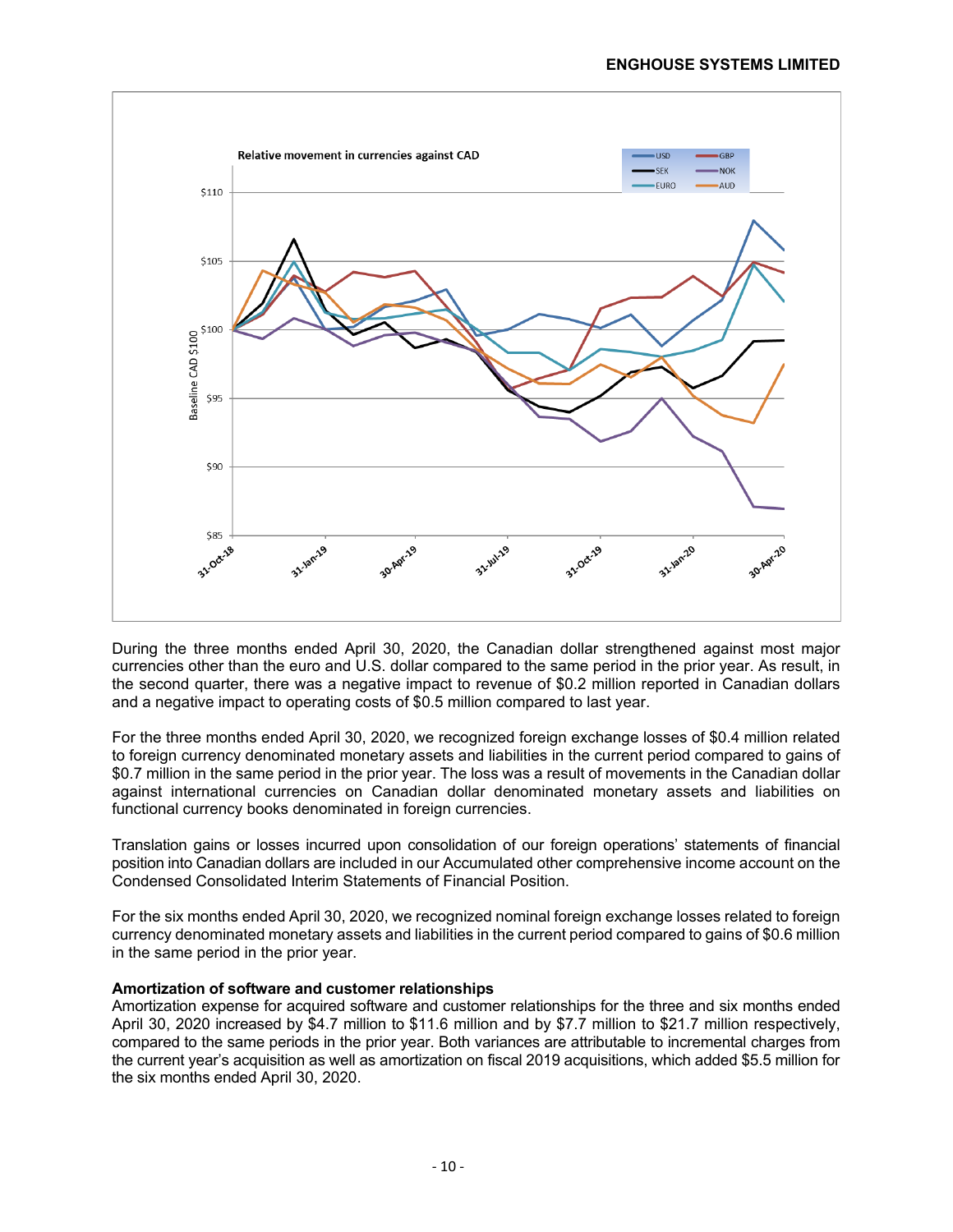

During the three months ended April 30, 2020, the Canadian dollar strengthened against most major currencies other than the euro and U.S. dollar compared to the same period in the prior year. As result, in the second quarter, there was a negative impact to revenue of \$0.2 million reported in Canadian dollars and a negative impact to operating costs of \$0.5 million compared to last year.

For the three months ended April 30, 2020, we recognized foreign exchange losses of \$0.4 million related to foreign currency denominated monetary assets and liabilities in the current period compared to gains of \$0.7 million in the same period in the prior year. The loss was a result of movements in the Canadian dollar against international currencies on Canadian dollar denominated monetary assets and liabilities on functional currency books denominated in foreign currencies.

Translation gains or losses incurred upon consolidation of our foreign operations' statements of financial position into Canadian dollars are included in our Accumulated other comprehensive income account on the Condensed Consolidated Interim Statements of Financial Position.

For the six months ended April 30, 2020, we recognized nominal foreign exchange losses related to foreign currency denominated monetary assets and liabilities in the current period compared to gains of \$0.6 million in the same period in the prior year.

#### **Amortization of software and customer relationships**

Amortization expense for acquired software and customer relationships for the three and six months ended April 30, 2020 increased by \$4.7 million to \$11.6 million and by \$7.7 million to \$21.7 million respectively, compared to the same periods in the prior year. Both variances are attributable to incremental charges from the current year's acquisition as well as amortization on fiscal 2019 acquisitions, which added \$5.5 million for the six months ended April 30, 2020.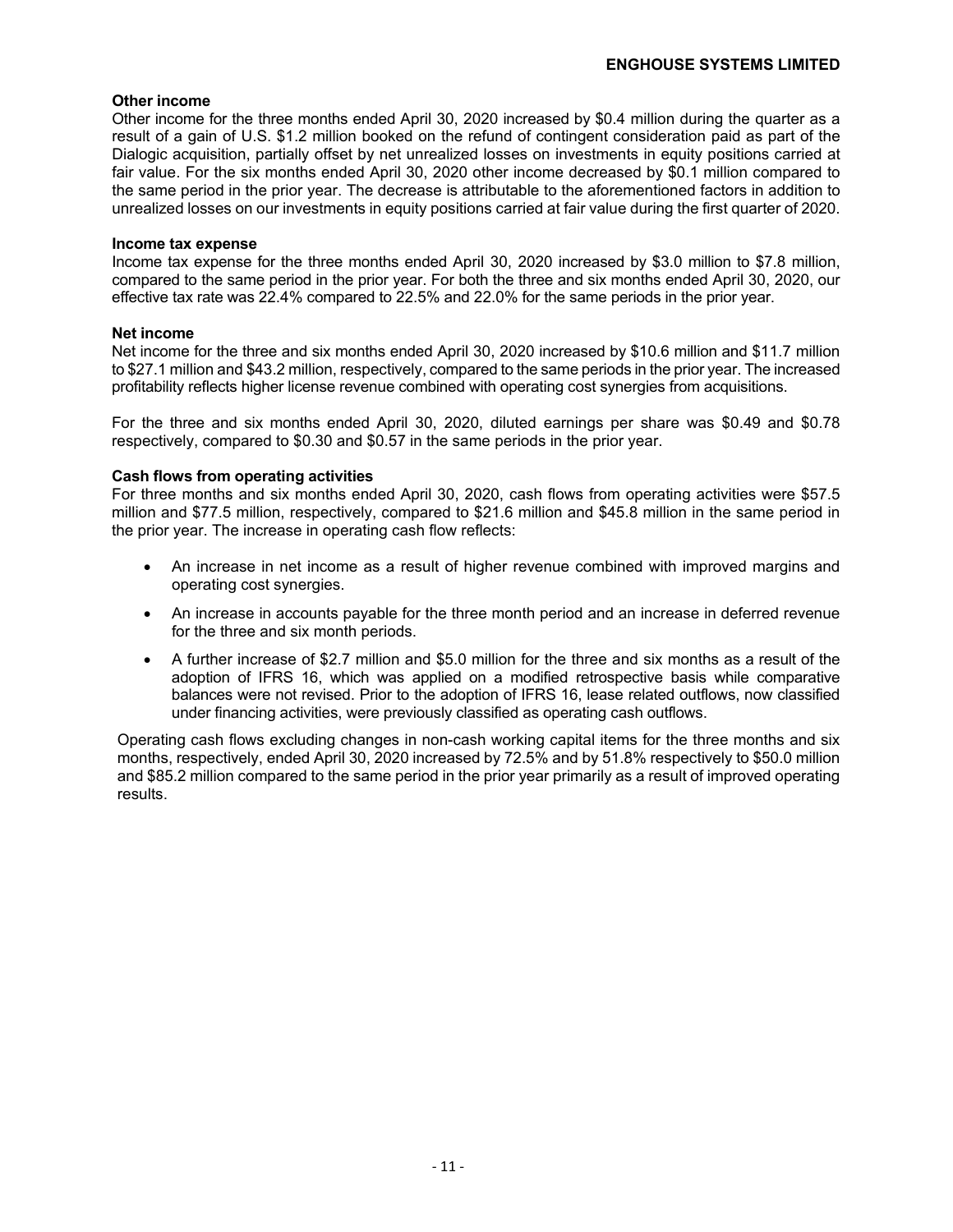#### **Other income**

Other income for the three months ended April 30, 2020 increased by \$0.4 million during the quarter as a result of a gain of U.S. \$1.2 million booked on the refund of contingent consideration paid as part of the Dialogic acquisition, partially offset by net unrealized losses on investments in equity positions carried at fair value. For the six months ended April 30, 2020 other income decreased by \$0.1 million compared to the same period in the prior year. The decrease is attributable to the aforementioned factors in addition to unrealized losses on our investments in equity positions carried at fair value during the first quarter of 2020.

#### **Income tax expense**

Income tax expense for the three months ended April 30, 2020 increased by \$3.0 million to \$7.8 million, compared to the same period in the prior year. For both the three and six months ended April 30, 2020, our effective tax rate was 22.4% compared to 22.5% and 22.0% for the same periods in the prior year.

#### **Net income**

Net income for the three and six months ended April 30, 2020 increased by \$10.6 million and \$11.7 million to \$27.1 million and \$43.2 million, respectively, compared to the same periods in the prior year. The increased profitability reflects higher license revenue combined with operating cost synergies from acquisitions.

For the three and six months ended April 30, 2020, diluted earnings per share was \$0.49 and \$0.78 respectively, compared to \$0.30 and \$0.57 in the same periods in the prior year.

#### **Cash flows from operating activities**

For three months and six months ended April 30, 2020, cash flows from operating activities were \$57.5 million and \$77.5 million, respectively, compared to \$21.6 million and \$45.8 million in the same period in the prior year. The increase in operating cash flow reflects:

- An increase in net income as a result of higher revenue combined with improved margins and operating cost synergies.
- An increase in accounts payable for the three month period and an increase in deferred revenue for the three and six month periods.
- A further increase of \$2.7 million and \$5.0 million for the three and six months as a result of the adoption of IFRS 16, which was applied on a modified retrospective basis while comparative balances were not revised. Prior to the adoption of IFRS 16, lease related outflows, now classified under financing activities, were previously classified as operating cash outflows.

Operating cash flows excluding changes in non-cash working capital items for the three months and six months, respectively, ended April 30, 2020 increased by 72.5% and by 51.8% respectively to \$50.0 million and \$85.2 million compared to the same period in the prior year primarily as a result of improved operating results.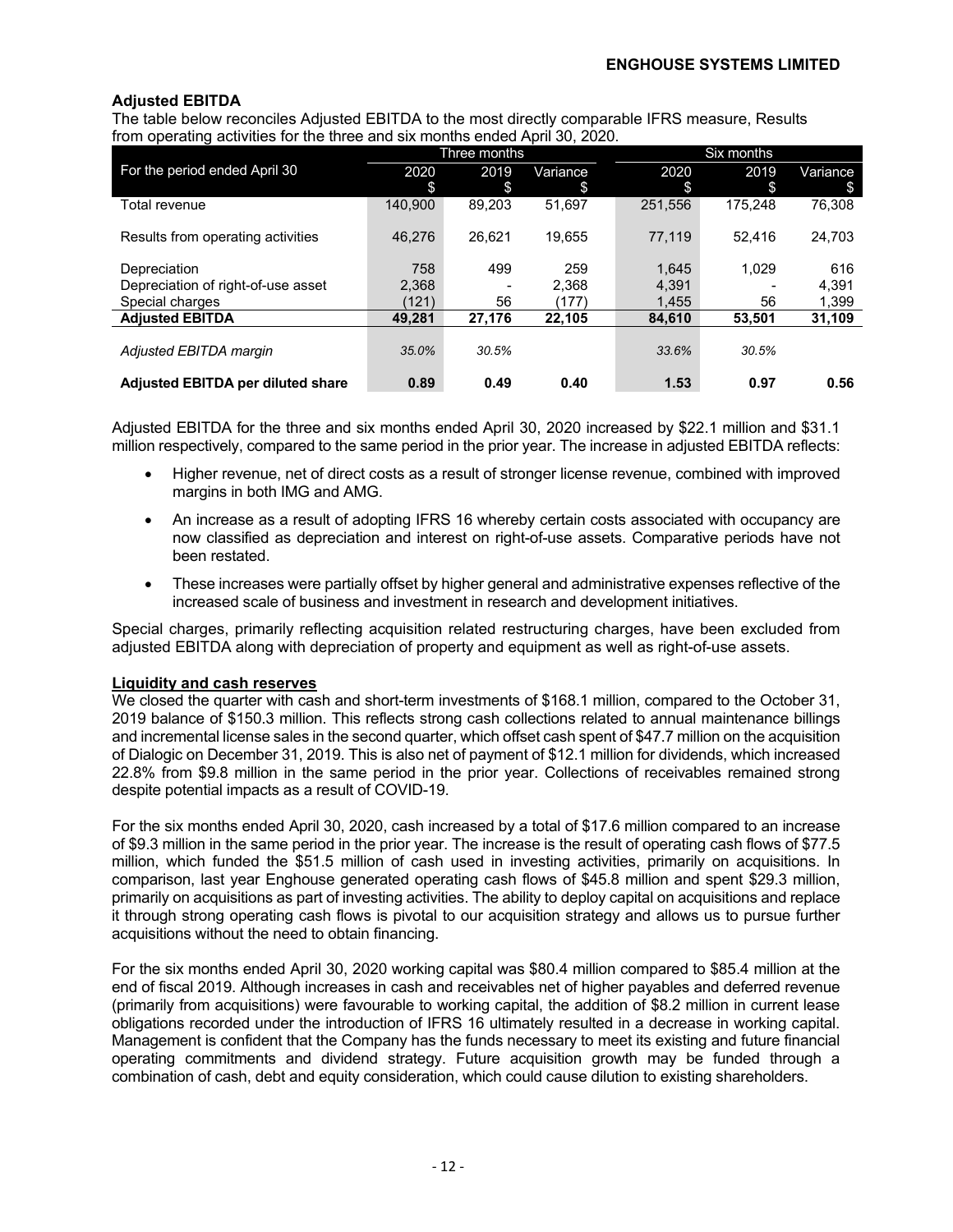#### **Adjusted EBITDA**

The table below reconciles Adjusted EBITDA to the most directly comparable IFRS measure, Results from operating activities for the three and six months ended April 30, 2020.

|                                    |         | Three months |          |         | Six months |          |
|------------------------------------|---------|--------------|----------|---------|------------|----------|
| For the period ended April 30      | 2020    | 2019         | Variance | 2020    | 2019       | Variance |
|                                    | \$      | \$           | S        | \$      | \$         | \$.      |
| Total revenue                      | 140.900 | 89.203       | 51.697   | 251.556 | 175.248    | 76.308   |
|                                    |         |              |          |         |            |          |
| Results from operating activities  | 46.276  | 26.621       | 19.655   | 77.119  | 52.416     | 24.703   |
|                                    |         |              |          |         |            |          |
| Depreciation                       | 758     | 499          | 259      | 1,645   | 1.029      | 616      |
| Depreciation of right-of-use asset | 2.368   |              | 2.368    | 4.391   |            | 4.391    |
| Special charges                    | (121)   | 56           | (177)    | 1,455   | 56         | 1,399    |
| <b>Adjusted EBITDA</b>             | 49.281  | 27,176       | 22,105   | 84.610  | 53,501     | 31,109   |
|                                    |         |              |          |         |            |          |
| Adjusted EBITDA margin             | 35.0%   | 30.5%        |          | 33.6%   | 30.5%      |          |
|                                    |         |              |          |         |            |          |
| Adjusted EBITDA per diluted share  | 0.89    | 0.49         | 0.40     | 1.53    | 0.97       | 0.56     |

Adjusted EBITDA for the three and six months ended April 30, 2020 increased by \$22.1 million and \$31.1 million respectively, compared to the same period in the prior year. The increase in adjusted EBITDA reflects:

- Higher revenue, net of direct costs as a result of stronger license revenue, combined with improved margins in both IMG and AMG.
- An increase as a result of adopting IFRS 16 whereby certain costs associated with occupancy are now classified as depreciation and interest on right-of-use assets. Comparative periods have not been restated.
- These increases were partially offset by higher general and administrative expenses reflective of the increased scale of business and investment in research and development initiatives.

Special charges, primarily reflecting acquisition related restructuring charges, have been excluded from adjusted EBITDA along with depreciation of property and equipment as well as right-of-use assets.

#### **Liquidity and cash reserves**

We closed the quarter with cash and short-term investments of \$168.1 million, compared to the October 31, 2019 balance of \$150.3 million. This reflects strong cash collections related to annual maintenance billings and incremental license sales in the second quarter, which offset cash spent of \$47.7 million on the acquisition of Dialogic on December 31, 2019. This is also net of payment of \$12.1 million for dividends, which increased 22.8% from \$9.8 million in the same period in the prior year. Collections of receivables remained strong despite potential impacts as a result of COVID-19.

For the six months ended April 30, 2020, cash increased by a total of \$17.6 million compared to an increase of \$9.3 million in the same period in the prior year. The increase is the result of operating cash flows of \$77.5 million, which funded the \$51.5 million of cash used in investing activities, primarily on acquisitions. In comparison, last year Enghouse generated operating cash flows of \$45.8 million and spent \$29.3 million, primarily on acquisitions as part of investing activities. The ability to deploy capital on acquisitions and replace it through strong operating cash flows is pivotal to our acquisition strategy and allows us to pursue further acquisitions without the need to obtain financing.

For the six months ended April 30, 2020 working capital was \$80.4 million compared to \$85.4 million at the end of fiscal 2019. Although increases in cash and receivables net of higher payables and deferred revenue (primarily from acquisitions) were favourable to working capital, the addition of \$8.2 million in current lease obligations recorded under the introduction of IFRS 16 ultimately resulted in a decrease in working capital. Management is confident that the Company has the funds necessary to meet its existing and future financial operating commitments and dividend strategy. Future acquisition growth may be funded through a combination of cash, debt and equity consideration, which could cause dilution to existing shareholders.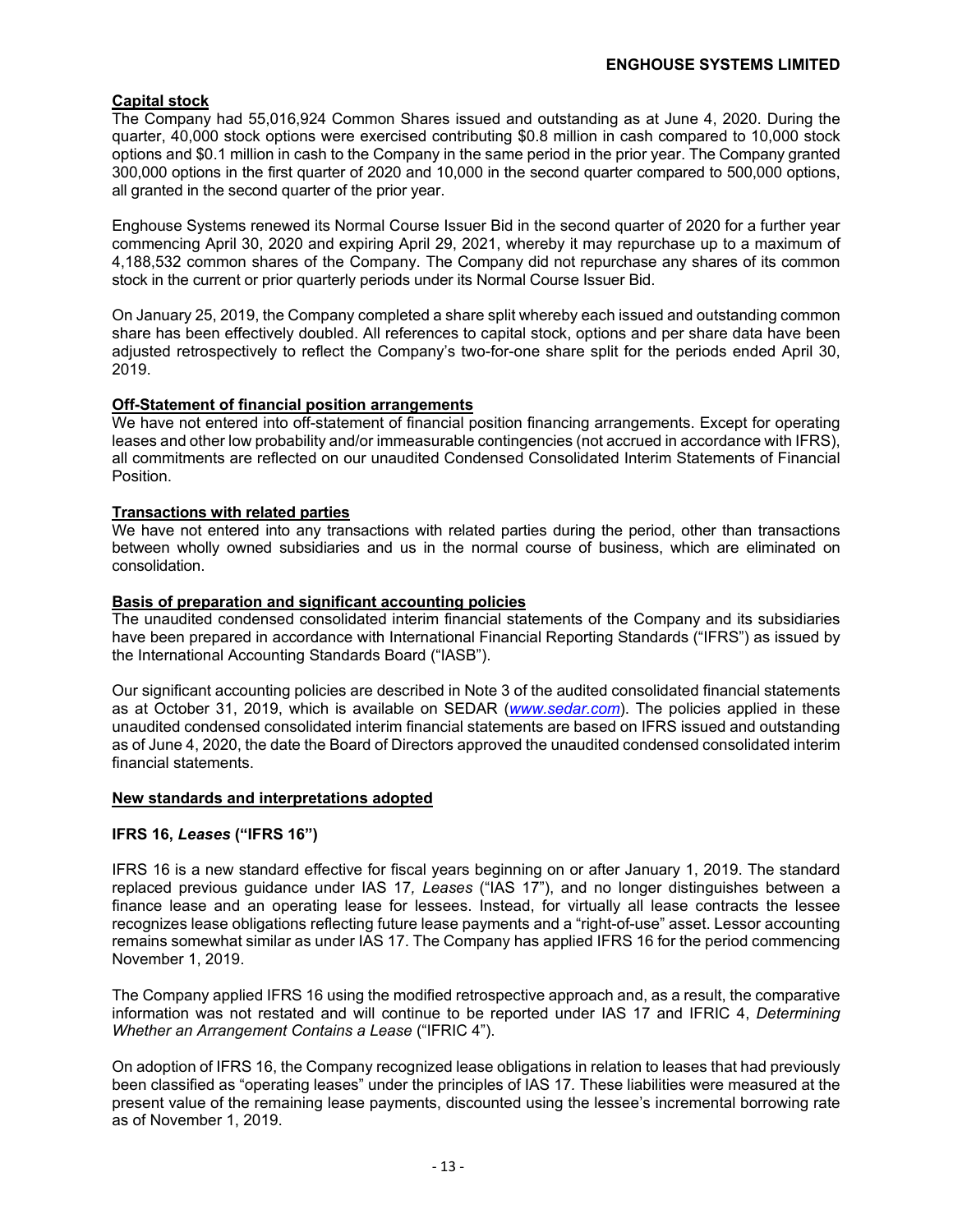#### **Capital stock**

The Company had 55,016,924 Common Shares issued and outstanding as at June 4, 2020. During the quarter, 40,000 stock options were exercised contributing \$0.8 million in cash compared to 10,000 stock options and \$0.1 million in cash to the Company in the same period in the prior year. The Company granted 300,000 options in the first quarter of 2020 and 10,000 in the second quarter compared to 500,000 options, all granted in the second quarter of the prior year.

Enghouse Systems renewed its Normal Course Issuer Bid in the second quarter of 2020 for a further year commencing April 30, 2020 and expiring April 29, 2021, whereby it may repurchase up to a maximum of 4,188,532 common shares of the Company. The Company did not repurchase any shares of its common stock in the current or prior quarterly periods under its Normal Course Issuer Bid.

On January 25, 2019, the Company completed a share split whereby each issued and outstanding common share has been effectively doubled. All references to capital stock, options and per share data have been adjusted retrospectively to reflect the Company's two-for-one share split for the periods ended April 30, 2019.

#### **Off-Statement of financial position arrangements**

We have not entered into off-statement of financial position financing arrangements. Except for operating leases and other low probability and/or immeasurable contingencies (not accrued in accordance with IFRS), all commitments are reflected on our unaudited Condensed Consolidated Interim Statements of Financial Position.

#### **Transactions with related parties**

We have not entered into any transactions with related parties during the period, other than transactions between wholly owned subsidiaries and us in the normal course of business, which are eliminated on consolidation.

#### **Basis of preparation and significant accounting policies**

The unaudited condensed consolidated interim financial statements of the Company and its subsidiaries have been prepared in accordance with International Financial Reporting Standards ("IFRS") as issued by the International Accounting Standards Board ("IASB").

Our significant accounting policies are described in Note 3 of the audited consolidated financial statements as at October 31, 2019, which is available on SEDAR (*www.sedar.com*). The policies applied in these unaudited condensed consolidated interim financial statements are based on IFRS issued and outstanding as of June 4, 2020, the date the Board of Directors approved the unaudited condensed consolidated interim financial statements.

#### **New standards and interpretations adopted**

#### **IFRS 16,** *Leases* **("IFRS 16")**

IFRS 16 is a new standard effective for fiscal years beginning on or after January 1, 2019. The standard replaced previous guidance under IAS 17*, Leases* ("IAS 17"), and no longer distinguishes between a finance lease and an operating lease for lessees. Instead, for virtually all lease contracts the lessee recognizes lease obligations reflecting future lease payments and a "right-of-use" asset. Lessor accounting remains somewhat similar as under IAS 17. The Company has applied IFRS 16 for the period commencing November 1, 2019.

The Company applied IFRS 16 using the modified retrospective approach and, as a result, the comparative information was not restated and will continue to be reported under IAS 17 and IFRIC 4, *Determining Whether an Arrangement Contains a Lease* ("IFRIC 4").

On adoption of IFRS 16, the Company recognized lease obligations in relation to leases that had previously been classified as "operating leases" under the principles of IAS 17*.* These liabilities were measured at the present value of the remaining lease payments, discounted using the lessee's incremental borrowing rate as of November 1, 2019.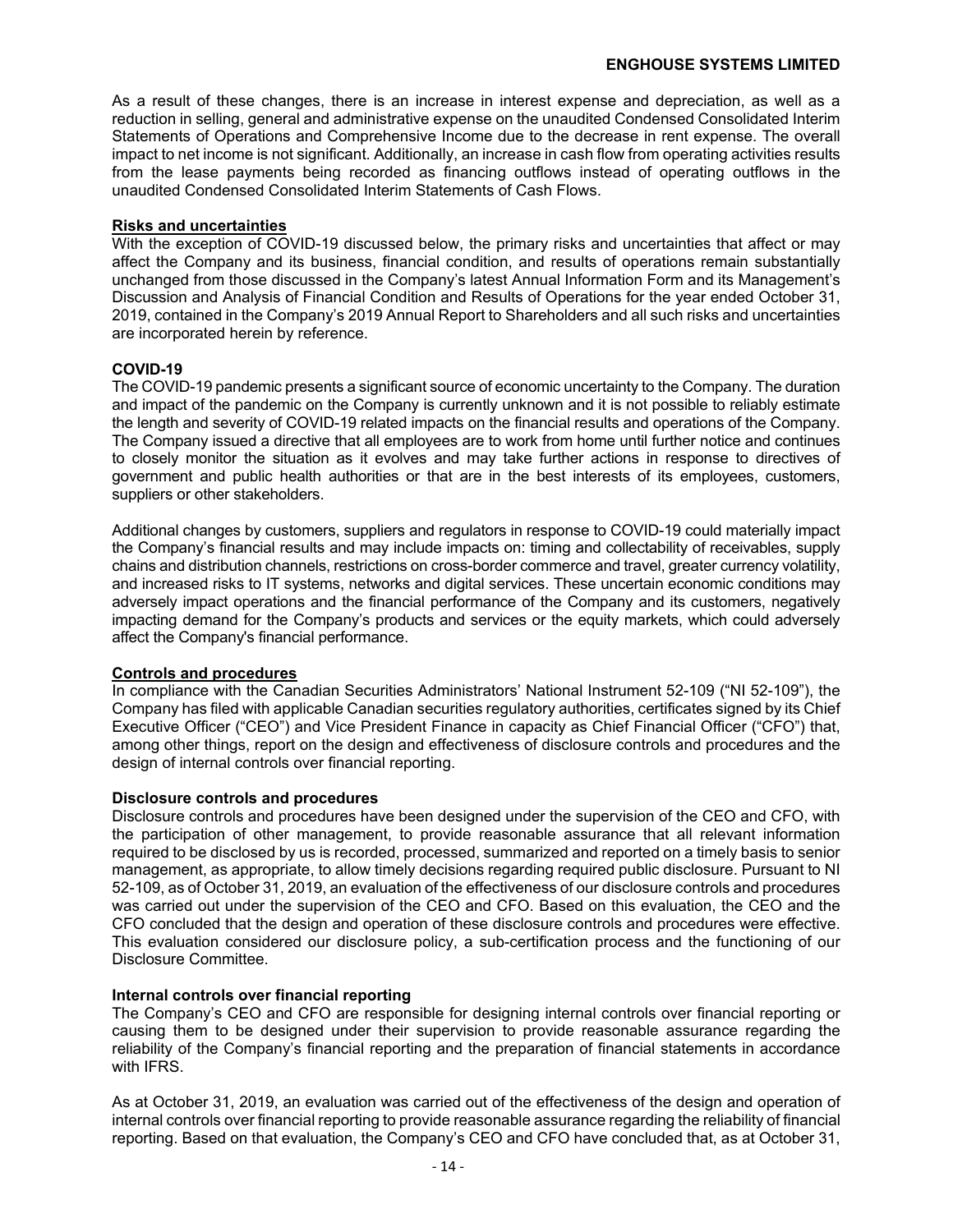As a result of these changes, there is an increase in interest expense and depreciation, as well as a reduction in selling, general and administrative expense on the unaudited Condensed Consolidated Interim Statements of Operations and Comprehensive Income due to the decrease in rent expense. The overall impact to net income is not significant. Additionally, an increase in cash flow from operating activities results from the lease payments being recorded as financing outflows instead of operating outflows in the unaudited Condensed Consolidated Interim Statements of Cash Flows.

#### **Risks and uncertainties**

With the exception of COVID-19 discussed below, the primary risks and uncertainties that affect or may affect the Company and its business, financial condition, and results of operations remain substantially unchanged from those discussed in the Company's latest Annual Information Form and its Management's Discussion and Analysis of Financial Condition and Results of Operations for the year ended October 31, 2019, contained in the Company's 2019 Annual Report to Shareholders and all such risks and uncertainties are incorporated herein by reference.

#### **COVID-19**

The COVID-19 pandemic presents a significant source of economic uncertainty to the Company. The duration and impact of the pandemic on the Company is currently unknown and it is not possible to reliably estimate the length and severity of COVID-19 related impacts on the financial results and operations of the Company. The Company issued a directive that all employees are to work from home until further notice and continues to closely monitor the situation as it evolves and may take further actions in response to directives of government and public health authorities or that are in the best interests of its employees, customers, suppliers or other stakeholders.

Additional changes by customers, suppliers and regulators in response to COVID-19 could materially impact the Company's financial results and may include impacts on: timing and collectability of receivables, supply chains and distribution channels, restrictions on cross-border commerce and travel, greater currency volatility, and increased risks to IT systems, networks and digital services. These uncertain economic conditions may adversely impact operations and the financial performance of the Company and its customers, negatively impacting demand for the Company's products and services or the equity markets, which could adversely affect the Company's financial performance.

#### **Controls and procedures**

In compliance with the Canadian Securities Administrators' National Instrument 52-109 ("NI 52-109"), the Company has filed with applicable Canadian securities regulatory authorities, certificates signed by its Chief Executive Officer ("CEO") and Vice President Finance in capacity as Chief Financial Officer ("CFO") that, among other things, report on the design and effectiveness of disclosure controls and procedures and the design of internal controls over financial reporting.

#### **Disclosure controls and procedures**

Disclosure controls and procedures have been designed under the supervision of the CEO and CFO, with the participation of other management, to provide reasonable assurance that all relevant information required to be disclosed by us is recorded, processed, summarized and reported on a timely basis to senior management, as appropriate, to allow timely decisions regarding required public disclosure. Pursuant to NI 52-109, as of October 31, 2019, an evaluation of the effectiveness of our disclosure controls and procedures was carried out under the supervision of the CEO and CFO. Based on this evaluation, the CEO and the CFO concluded that the design and operation of these disclosure controls and procedures were effective. This evaluation considered our disclosure policy, a sub-certification process and the functioning of our Disclosure Committee.

#### **Internal controls over financial reporting**

The Company's CEO and CFO are responsible for designing internal controls over financial reporting or causing them to be designed under their supervision to provide reasonable assurance regarding the reliability of the Company's financial reporting and the preparation of financial statements in accordance with IFRS.

As at October 31, 2019, an evaluation was carried out of the effectiveness of the design and operation of internal controls over financial reporting to provide reasonable assurance regarding the reliability of financial reporting. Based on that evaluation, the Company's CEO and CFO have concluded that, as at October 31,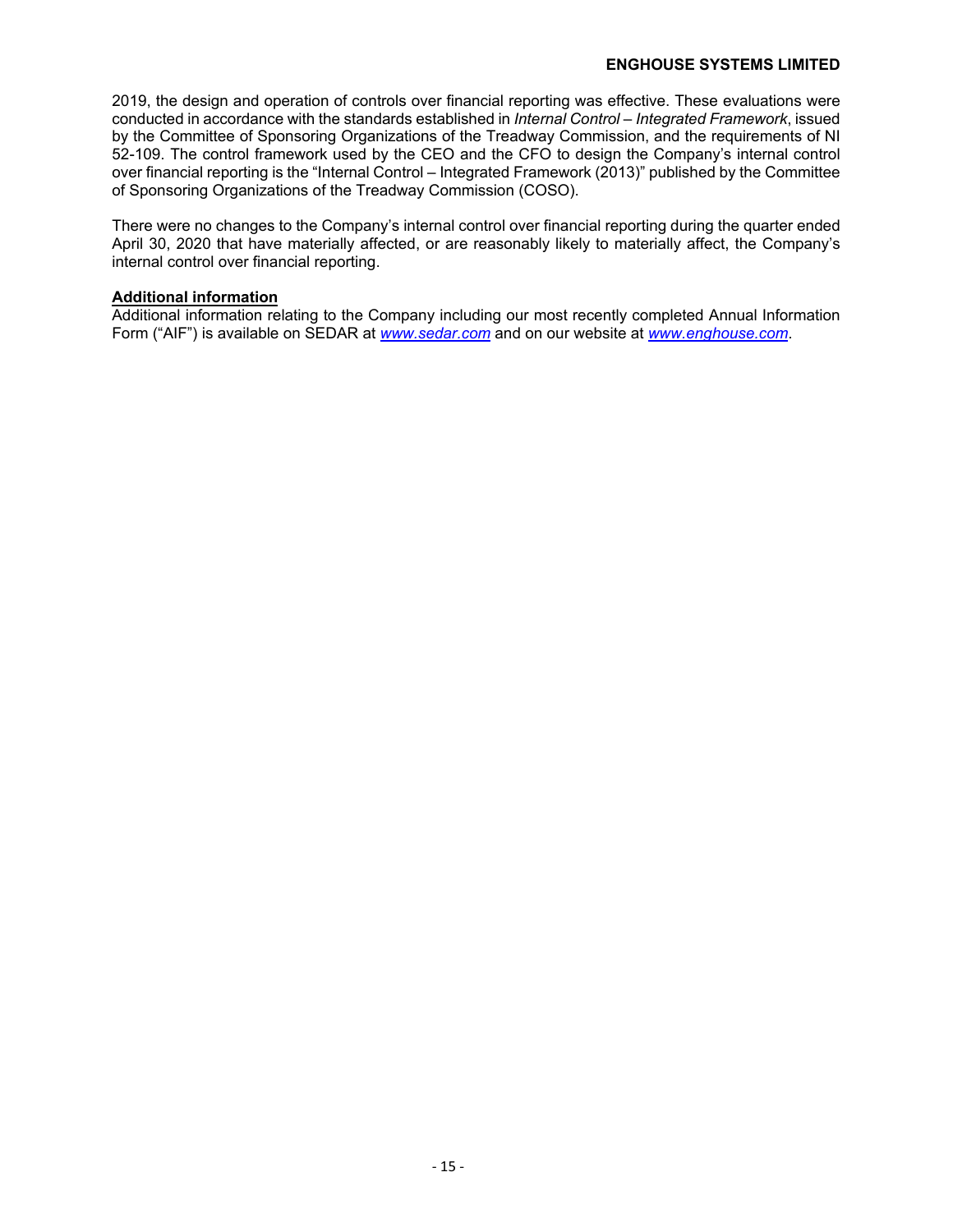#### **ENGHOUSE SYSTEMS LIMITED**

2019, the design and operation of controls over financial reporting was effective. These evaluations were conducted in accordance with the standards established in *Internal Control – Integrated Framework*, issued by the Committee of Sponsoring Organizations of the Treadway Commission, and the requirements of NI 52-109. The control framework used by the CEO and the CFO to design the Company's internal control over financial reporting is the "Internal Control – Integrated Framework (2013)" published by the Committee of Sponsoring Organizations of the Treadway Commission (COSO).

There were no changes to the Company's internal control over financial reporting during the quarter ended April 30, 2020 that have materially affected, or are reasonably likely to materially affect, the Company's internal control over financial reporting.

#### **Additional information**

Additional information relating to the Company including our most recently completed Annual Information Form ("AIF") is available on SEDAR at *www.sedar.com* and on our website at *www.enghouse.com*.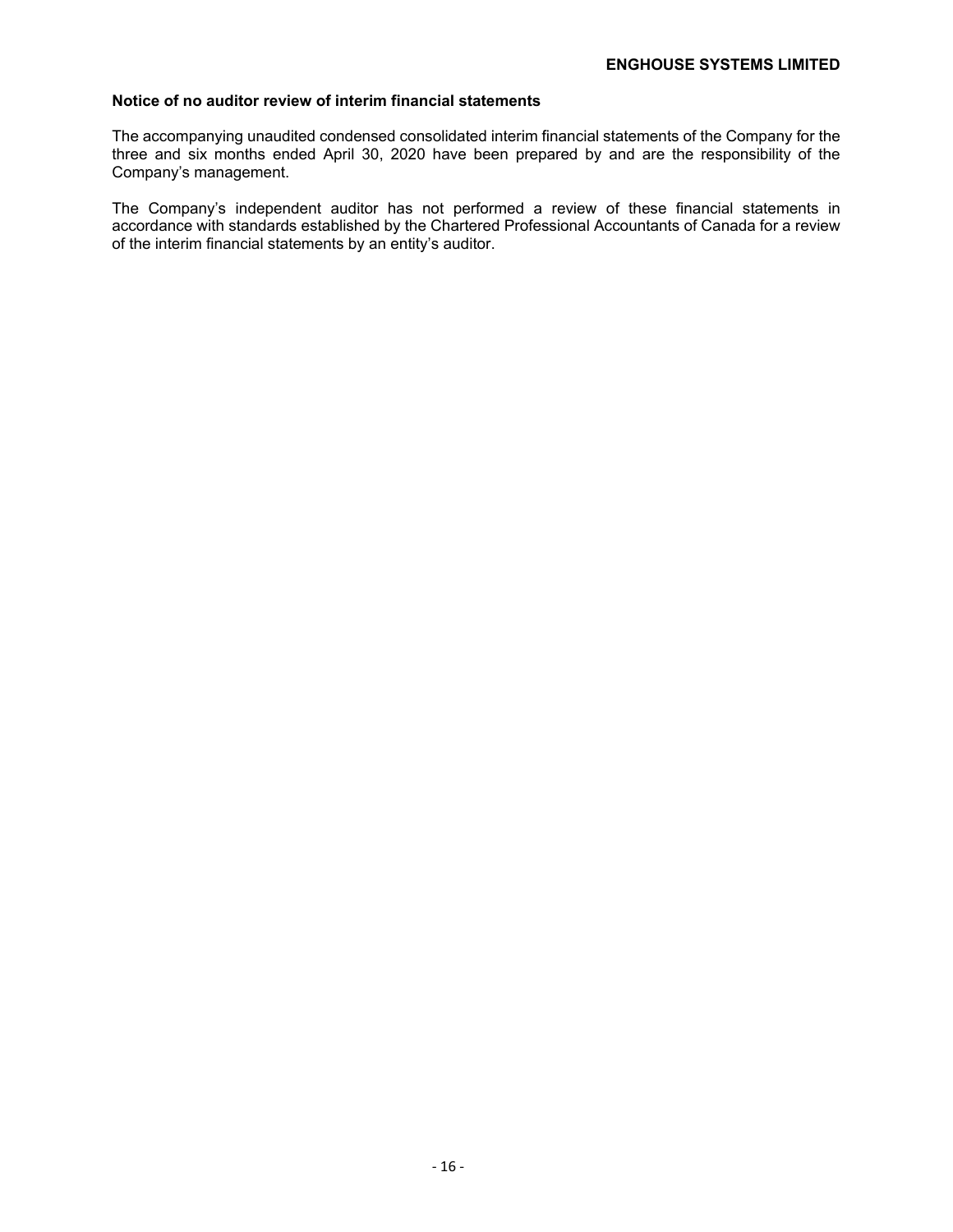#### **Notice of no auditor review of interim financial statements**

The accompanying unaudited condensed consolidated interim financial statements of the Company for the three and six months ended April 30, 2020 have been prepared by and are the responsibility of the Company's management.

The Company's independent auditor has not performed a review of these financial statements in accordance with standards established by the Chartered Professional Accountants of Canada for a review of the interim financial statements by an entity's auditor.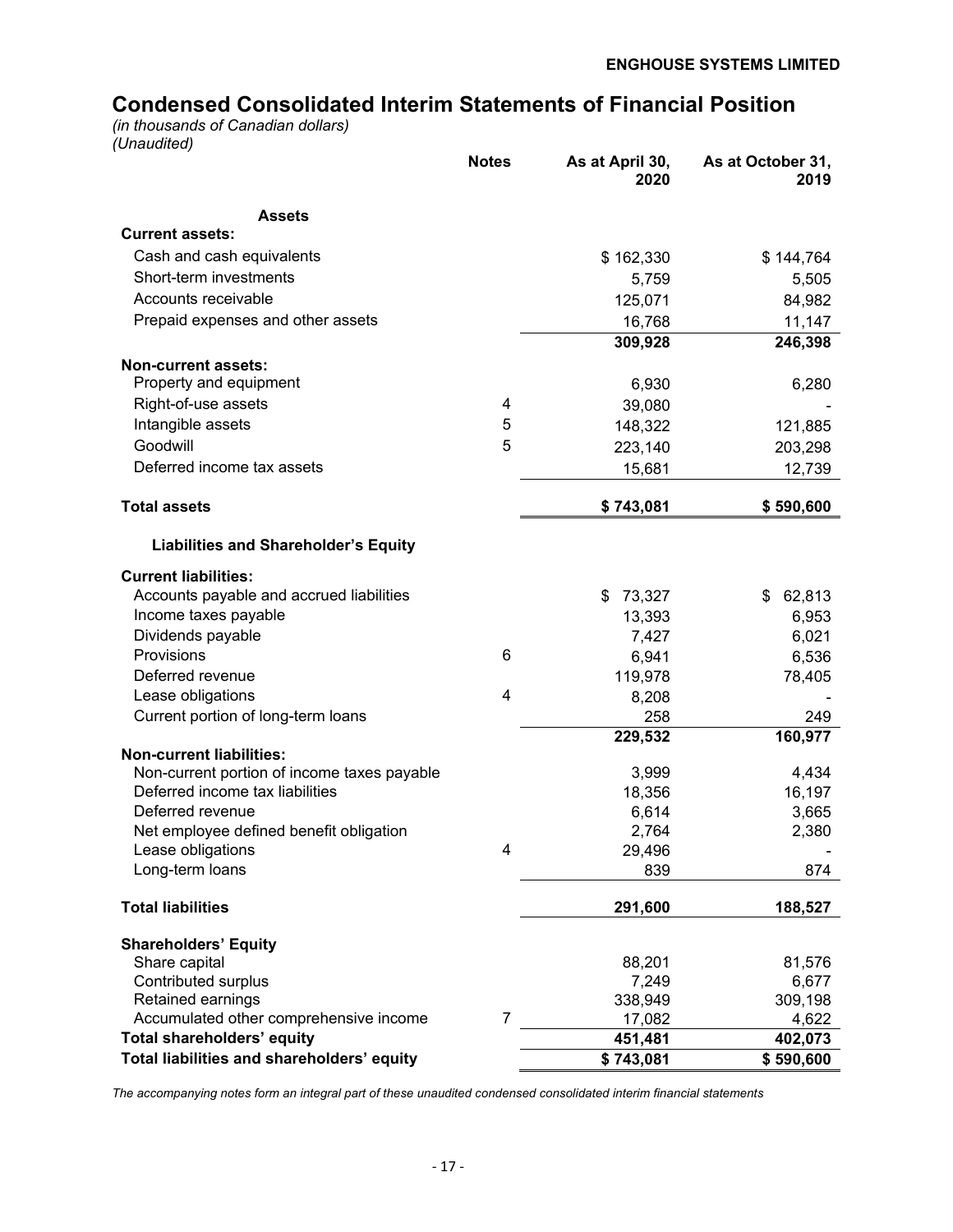# **Condensed Consolidated Interim Statements of Financial Position**

*(in thousands of Canadian dollars) (Unaudited)*

| <b>Assets</b><br><b>Current assets:</b><br>Cash and cash equivalents<br>\$162,330<br>\$144,764<br>Short-term investments<br>5,759<br>5,505<br>Accounts receivable<br>125,071<br>84,982<br>Prepaid expenses and other assets<br>16,768<br>11,147<br>309,928<br>246,398<br><b>Non-current assets:</b><br>Property and equipment<br>6,930<br>6,280<br>Right-of-use assets<br>4<br>39,080<br>5<br>Intangible assets<br>148,322<br>121,885<br>5<br>Goodwill<br>223,140<br>203,298<br>Deferred income tax assets<br>15,681<br>12,739<br><b>Total assets</b><br>\$743,081<br>\$590,600<br><b>Liabilities and Shareholder's Equity</b><br><b>Current liabilities:</b><br>Accounts payable and accrued liabilities<br>\$<br>73,327<br>62,813<br>\$ |
|-------------------------------------------------------------------------------------------------------------------------------------------------------------------------------------------------------------------------------------------------------------------------------------------------------------------------------------------------------------------------------------------------------------------------------------------------------------------------------------------------------------------------------------------------------------------------------------------------------------------------------------------------------------------------------------------------------------------------------------------|
|                                                                                                                                                                                                                                                                                                                                                                                                                                                                                                                                                                                                                                                                                                                                           |
|                                                                                                                                                                                                                                                                                                                                                                                                                                                                                                                                                                                                                                                                                                                                           |
|                                                                                                                                                                                                                                                                                                                                                                                                                                                                                                                                                                                                                                                                                                                                           |
|                                                                                                                                                                                                                                                                                                                                                                                                                                                                                                                                                                                                                                                                                                                                           |
|                                                                                                                                                                                                                                                                                                                                                                                                                                                                                                                                                                                                                                                                                                                                           |
|                                                                                                                                                                                                                                                                                                                                                                                                                                                                                                                                                                                                                                                                                                                                           |
|                                                                                                                                                                                                                                                                                                                                                                                                                                                                                                                                                                                                                                                                                                                                           |
|                                                                                                                                                                                                                                                                                                                                                                                                                                                                                                                                                                                                                                                                                                                                           |
|                                                                                                                                                                                                                                                                                                                                                                                                                                                                                                                                                                                                                                                                                                                                           |
|                                                                                                                                                                                                                                                                                                                                                                                                                                                                                                                                                                                                                                                                                                                                           |
|                                                                                                                                                                                                                                                                                                                                                                                                                                                                                                                                                                                                                                                                                                                                           |
|                                                                                                                                                                                                                                                                                                                                                                                                                                                                                                                                                                                                                                                                                                                                           |
|                                                                                                                                                                                                                                                                                                                                                                                                                                                                                                                                                                                                                                                                                                                                           |
|                                                                                                                                                                                                                                                                                                                                                                                                                                                                                                                                                                                                                                                                                                                                           |
|                                                                                                                                                                                                                                                                                                                                                                                                                                                                                                                                                                                                                                                                                                                                           |
|                                                                                                                                                                                                                                                                                                                                                                                                                                                                                                                                                                                                                                                                                                                                           |
|                                                                                                                                                                                                                                                                                                                                                                                                                                                                                                                                                                                                                                                                                                                                           |
| Income taxes payable<br>13,393<br>6,953                                                                                                                                                                                                                                                                                                                                                                                                                                                                                                                                                                                                                                                                                                   |
| Dividends payable<br>7,427<br>6,021                                                                                                                                                                                                                                                                                                                                                                                                                                                                                                                                                                                                                                                                                                       |
| Provisions<br>6<br>6,941<br>6,536                                                                                                                                                                                                                                                                                                                                                                                                                                                                                                                                                                                                                                                                                                         |
| Deferred revenue<br>119,978<br>78,405                                                                                                                                                                                                                                                                                                                                                                                                                                                                                                                                                                                                                                                                                                     |
| $\overline{4}$<br>Lease obligations<br>8,208                                                                                                                                                                                                                                                                                                                                                                                                                                                                                                                                                                                                                                                                                              |
| Current portion of long-term loans<br>258<br>249                                                                                                                                                                                                                                                                                                                                                                                                                                                                                                                                                                                                                                                                                          |
| 160,977<br>229,532                                                                                                                                                                                                                                                                                                                                                                                                                                                                                                                                                                                                                                                                                                                        |
| <b>Non-current liabilities:</b>                                                                                                                                                                                                                                                                                                                                                                                                                                                                                                                                                                                                                                                                                                           |
| Non-current portion of income taxes payable<br>3,999<br>4,434                                                                                                                                                                                                                                                                                                                                                                                                                                                                                                                                                                                                                                                                             |
| Deferred income tax liabilities<br>16,197<br>18,356                                                                                                                                                                                                                                                                                                                                                                                                                                                                                                                                                                                                                                                                                       |
| Deferred revenue<br>6,614<br>3,665                                                                                                                                                                                                                                                                                                                                                                                                                                                                                                                                                                                                                                                                                                        |
| Net employee defined benefit obligation<br>2,764<br>2,380                                                                                                                                                                                                                                                                                                                                                                                                                                                                                                                                                                                                                                                                                 |
| 29,496<br>Lease obligations<br>4<br>874                                                                                                                                                                                                                                                                                                                                                                                                                                                                                                                                                                                                                                                                                                   |
| Long-term loans<br>839                                                                                                                                                                                                                                                                                                                                                                                                                                                                                                                                                                                                                                                                                                                    |
| <b>Total liabilities</b><br>291,600<br>188,527                                                                                                                                                                                                                                                                                                                                                                                                                                                                                                                                                                                                                                                                                            |
| <b>Shareholders' Equity</b>                                                                                                                                                                                                                                                                                                                                                                                                                                                                                                                                                                                                                                                                                                               |
| Share capital<br>88,201<br>81,576                                                                                                                                                                                                                                                                                                                                                                                                                                                                                                                                                                                                                                                                                                         |
| <b>Contributed surplus</b><br>7,249<br>6,677                                                                                                                                                                                                                                                                                                                                                                                                                                                                                                                                                                                                                                                                                              |
| Retained earnings<br>338,949<br>309,198<br>7                                                                                                                                                                                                                                                                                                                                                                                                                                                                                                                                                                                                                                                                                              |
| Accumulated other comprehensive income<br>17,082<br>4,622<br><b>Total shareholders' equity</b><br>451,481<br>402,073                                                                                                                                                                                                                                                                                                                                                                                                                                                                                                                                                                                                                      |
| Total liabilities and shareholders' equity<br>\$743,081<br>\$590,600                                                                                                                                                                                                                                                                                                                                                                                                                                                                                                                                                                                                                                                                      |

*The accompanying notes form an integral part of these unaudited condensed consolidated interim financial statements*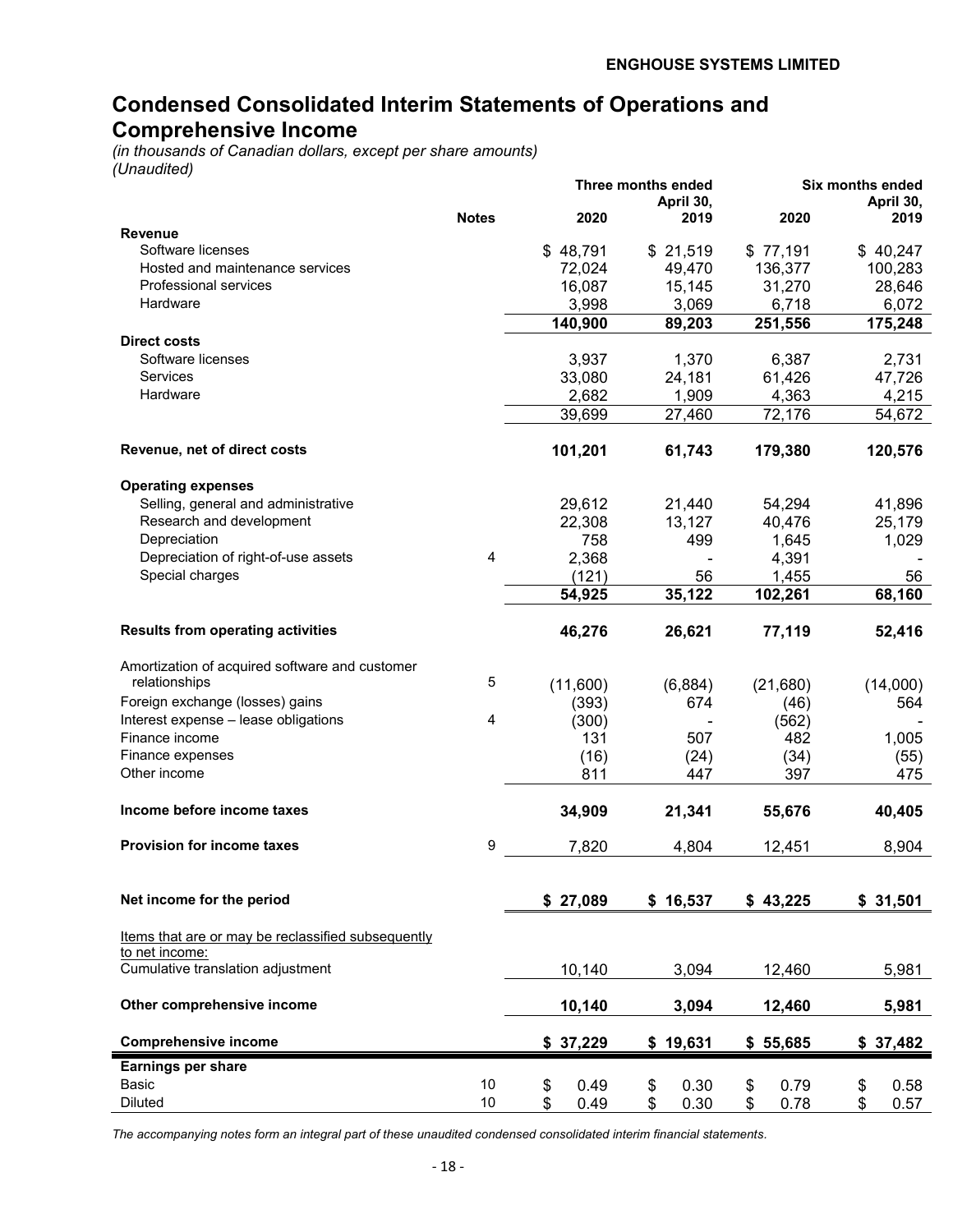# **Condensed Consolidated Interim Statements of Operations and Comprehensive Income**

*(in thousands of Canadian dollars, except per share amounts) (Unaudited)*

|                                                    |              |            | Three months ended |            | Six months ended |
|----------------------------------------------------|--------------|------------|--------------------|------------|------------------|
|                                                    |              | 2020       | April 30,          | 2020       | April 30,        |
| <b>Revenue</b>                                     | <b>Notes</b> |            | 2019               |            | 2019             |
| Software licenses                                  |              | \$48,791   | \$21,519           | \$77,191   | \$40,247         |
| Hosted and maintenance services                    |              | 72,024     | 49,470             | 136,377    | 100,283          |
| Professional services                              |              | 16,087     | 15,145             | 31,270     | 28,646           |
| Hardware                                           |              | 3,998      | 3,069              | 6,718      | 6,072            |
|                                                    |              | 140,900    | 89,203             | 251,556    | 175,248          |
| <b>Direct costs</b>                                |              |            |                    |            |                  |
| Software licenses                                  |              | 3,937      | 1,370              | 6,387      | 2,731            |
| Services                                           |              | 33,080     | 24,181             | 61,426     | 47,726           |
| Hardware                                           |              | 2,682      | 1,909              | 4,363      | 4,215            |
|                                                    |              | 39,699     | 27,460             | 72,176     | 54,672           |
|                                                    |              |            |                    |            |                  |
| Revenue, net of direct costs                       |              | 101,201    | 61,743             | 179,380    | 120,576          |
| <b>Operating expenses</b>                          |              |            |                    |            |                  |
| Selling, general and administrative                |              | 29,612     | 21,440             | 54,294     | 41,896           |
| Research and development                           |              | 22,308     | 13,127             | 40,476     | 25,179           |
| Depreciation                                       |              | 758        | 499                | 1,645      | 1,029            |
| Depreciation of right-of-use assets                | 4            | 2,368      |                    | 4,391      |                  |
| Special charges                                    |              | (121)      | 56                 | 1,455      | 56               |
|                                                    |              | 54,925     | 35,122             | 102,261    | 68,160           |
|                                                    |              |            |                    |            |                  |
| <b>Results from operating activities</b>           |              | 46,276     | 26,621             | 77,119     | 52,416           |
| Amortization of acquired software and customer     |              |            |                    |            |                  |
| relationships                                      | 5            | (11,600)   | (6,884)            | (21,680)   | (14,000)         |
| Foreign exchange (losses) gains                    |              | (393)      | 674                | (46)       | 564              |
| Interest expense - lease obligations               | 4            | (300)      |                    | (562)      |                  |
| Finance income                                     |              | 131        | 507                | 482        | 1,005            |
| Finance expenses                                   |              | (16)       | (24)               | (34)       | (55)             |
| Other income                                       |              | 811        | 447                | 397        | 475              |
| Income before income taxes                         |              | 34,909     | 21,341             | 55,676     | 40,405           |
|                                                    |              |            |                    |            |                  |
| <b>Provision for income taxes</b>                  | 9            | 7,820      | 4,804              | 12,451     | 8,904            |
| Net income for the period                          |              | \$27,089   | \$16,537           | \$43,225   | \$31,501         |
|                                                    |              |            |                    |            |                  |
| Items that are or may be reclassified subsequently |              |            |                    |            |                  |
| to net income:                                     |              |            |                    |            |                  |
| Cumulative translation adjustment                  |              | 10,140     | 3,094              | 12,460     | 5,981            |
| Other comprehensive income                         |              | 10,140     | 3,094              | 12,460     | 5,981            |
| <b>Comprehensive income</b>                        |              | \$37,229   | \$19,631           | \$55,685   | \$37,482         |
| Earnings per share                                 |              |            |                    |            |                  |
| Basic                                              | 10           | \$<br>0.49 | \$<br>0.30         | \$<br>0.79 | \$<br>0.58       |
| <b>Diluted</b>                                     | 10           | \$<br>0.49 | \$<br>0.30         | \$<br>0.78 | \$<br>0.57       |

*The accompanying notes form an integral part of these unaudited condensed consolidated interim financial statements.*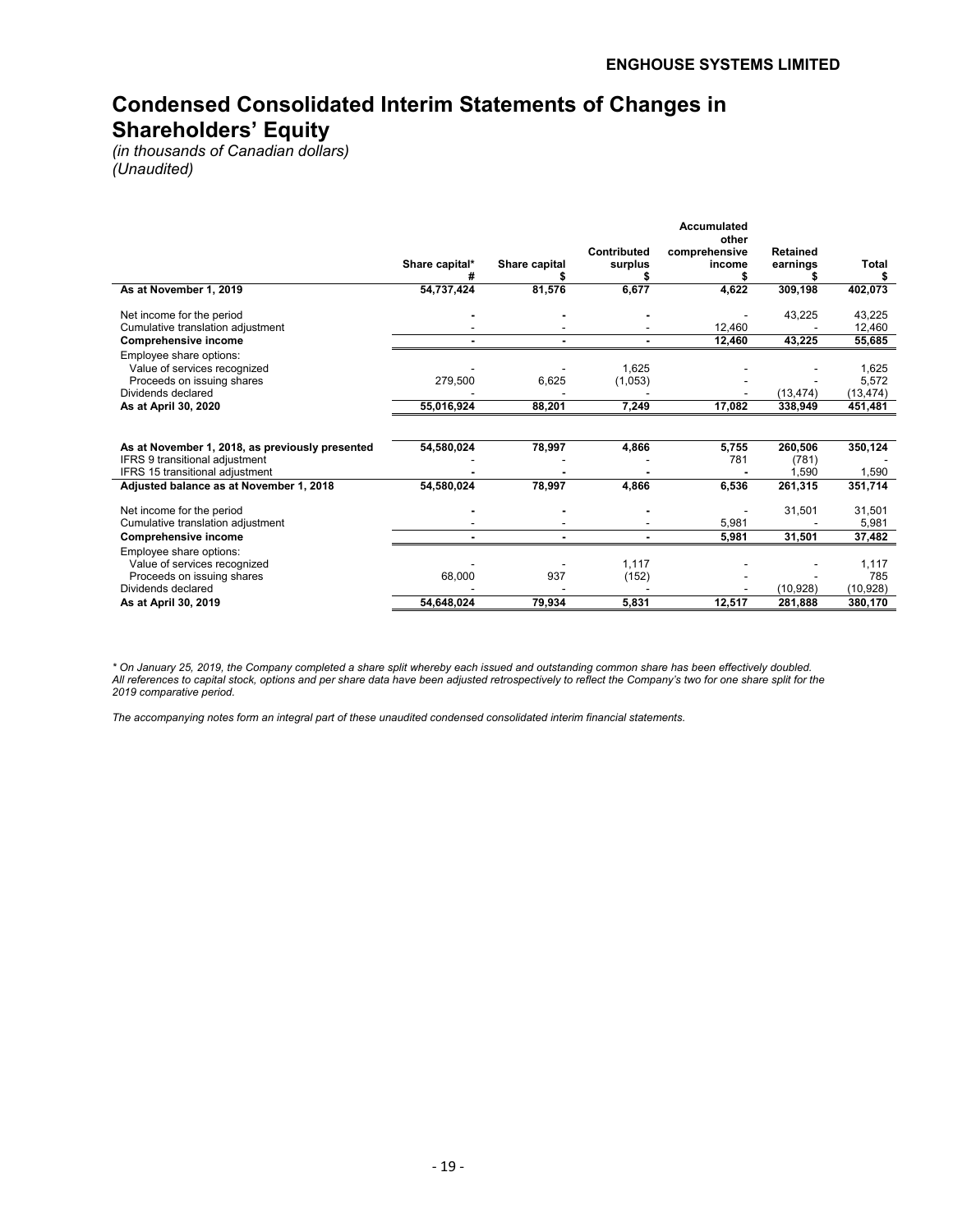# **Condensed Consolidated Interim Statements of Changes in Shareholders' Equity**

*(in thousands of Canadian dollars) (Unaudited)*

| As at November 1, 2019                                                                                      | Share capital*<br>54,737,424 | Share capital<br>81,576 | Contributed<br>surplus<br>6,677 | Accumulated<br>other<br>comprehensive<br>income<br>4,622 | Retained<br>earnings<br>309,198 | <b>Total</b><br>402,073     |
|-------------------------------------------------------------------------------------------------------------|------------------------------|-------------------------|---------------------------------|----------------------------------------------------------|---------------------------------|-----------------------------|
|                                                                                                             |                              |                         |                                 |                                                          |                                 |                             |
| Net income for the period<br>Cumulative translation adjustment                                              |                              |                         |                                 | 12,460                                                   | 43,225                          | 43,225<br>12,460            |
| <b>Comprehensive income</b>                                                                                 |                              |                         |                                 | 12,460                                                   | 43,225                          | 55,685                      |
| Employee share options:<br>Value of services recognized<br>Proceeds on issuing shares<br>Dividends declared | 279,500                      | 6,625                   | 1,625<br>(1,053)                |                                                          | (13, 474)                       | 1,625<br>5,572<br>(13, 474) |
| As at April 30, 2020                                                                                        | 55,016,924                   | 88,201                  | 7,249                           | 17,082                                                   | 338,949                         | 451,481                     |
| As at November 1, 2018, as previously presented<br><b>IFRS 9 transitional adjustment</b>                    | 54,580,024                   | 78,997                  | 4,866                           | 5,755<br>781                                             | 260,506<br>(781)                | 350,124                     |
| IFRS 15 transitional adjustment<br>Adjusted balance as at November 1, 2018                                  | 54,580,024                   | 78,997                  | 4,866                           | 6,536                                                    | .590<br>261,315                 | 1,590<br>351,714            |
| Net income for the period<br>Cumulative translation adjustment<br><b>Comprehensive income</b>               |                              |                         |                                 | 5,981<br>5,981                                           | 31,501<br>31,501                | 31,501<br>5,981<br>37,482   |
| Employee share options:                                                                                     |                              |                         |                                 |                                                          |                                 |                             |
| Value of services recognized<br>Proceeds on issuing shares<br>Dividends declared                            | 68,000                       | 937                     | 1,117<br>(152)                  |                                                          | (10, 928)                       | 1,117<br>785<br>(10, 928)   |
| As at April 30, 2019                                                                                        | 54,648,024                   | 79,934                  | 5,831                           | 12,517                                                   | 281,888                         | 380,170                     |

*\* On January 25, 2019, the Company completed a share split whereby each issued and outstanding common share has been effectively doubled. All references to capital stock, options and per share data have been adjusted retrospectively to reflect the Company's two for one share split for the 2019 comparative period.*

*The accompanying notes form an integral part of these unaudited condensed consolidated interim financial statements.*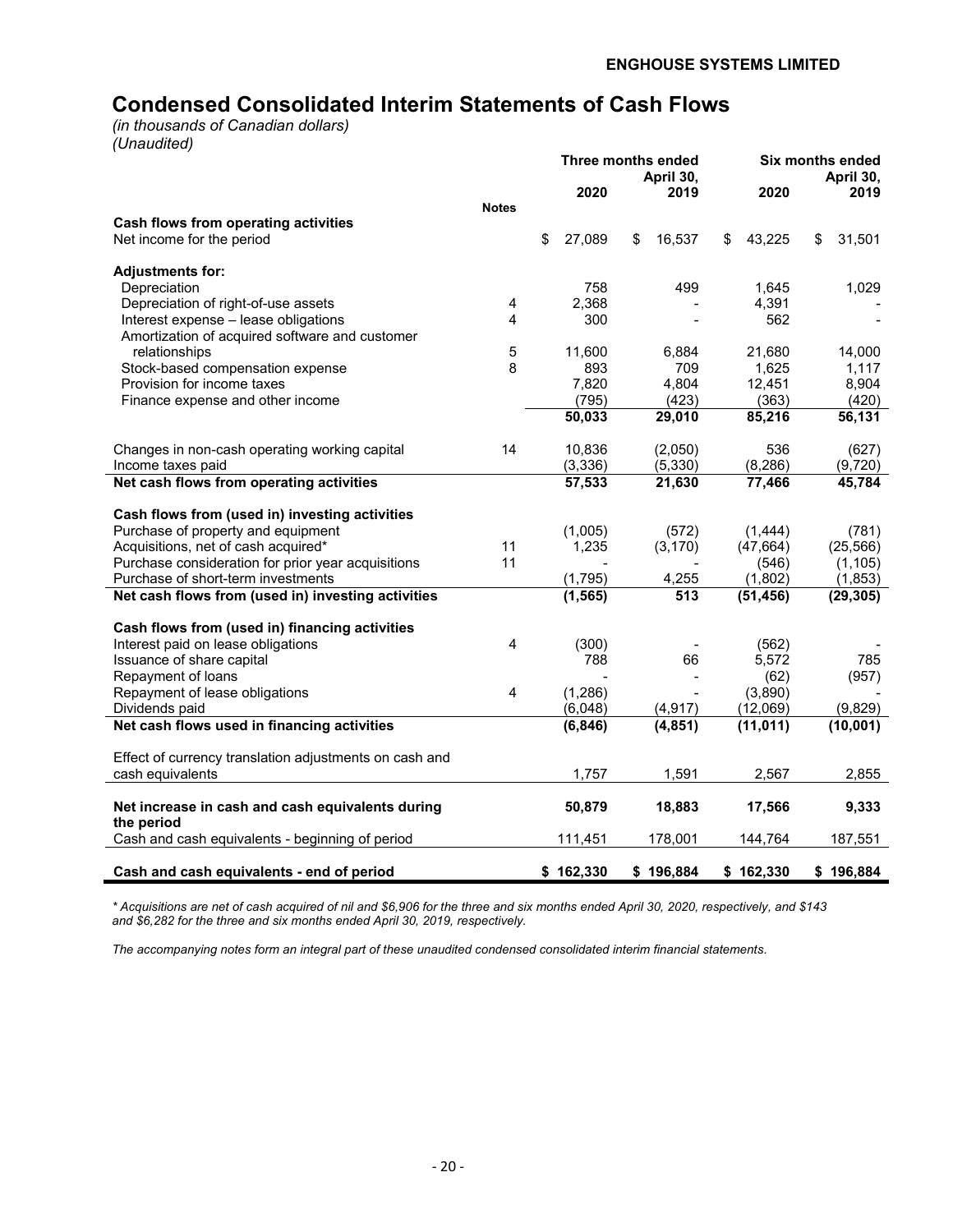# **Condensed Consolidated Interim Statements of Cash Flows**

*(in thousands of Canadian dollars) (Unaudited)*

|                                                                |                | Three months ended<br>April 30, |           |    | Six months ended<br>April 30, |              |              |
|----------------------------------------------------------------|----------------|---------------------------------|-----------|----|-------------------------------|--------------|--------------|
|                                                                |                |                                 | 2020      |    | 2019                          | 2020         | 2019         |
|                                                                | <b>Notes</b>   |                                 |           |    |                               |              |              |
| Cash flows from operating activities                           |                |                                 |           |    |                               |              |              |
| Net income for the period                                      |                | \$                              | 27,089    | \$ | 16,537                        | \$<br>43,225 | \$<br>31,501 |
| <b>Adjustments for:</b>                                        |                |                                 |           |    |                               |              |              |
| Depreciation                                                   |                |                                 | 758       |    | 499                           | 1.645        | 1,029        |
| Depreciation of right-of-use assets                            | 4              |                                 | 2,368     |    |                               | 4,391        |              |
| Interest expense - lease obligations                           | 4              |                                 | 300       |    |                               | 562          |              |
| Amortization of acquired software and customer                 |                |                                 |           |    |                               |              |              |
| relationships                                                  | 5              |                                 | 11,600    |    | 6,884                         | 21,680       | 14,000       |
| Stock-based compensation expense                               | 8              |                                 | 893       |    | 709                           | 1,625        | 1,117        |
| Provision for income taxes                                     |                |                                 | 7,820     |    | 4,804                         | 12,451       | 8,904        |
| Finance expense and other income                               |                |                                 | (795)     |    | (423)                         | (363)        | (420)        |
|                                                                |                |                                 | 50,033    |    | 29,010                        | 85,216       | 56,131       |
| Changes in non-cash operating working capital                  | 14             |                                 | 10,836    |    | (2,050)                       | 536          | (627)        |
| Income taxes paid                                              |                |                                 | (3, 336)  |    | (5, 330)                      | (8, 286)     | (9,720)      |
| Net cash flows from operating activities                       |                |                                 | 57,533    |    | 21,630                        | 77,466       | 45,784       |
| Cash flows from (used in) investing activities                 |                |                                 |           |    |                               |              |              |
| Purchase of property and equipment                             |                |                                 | (1,005)   |    | (572)                         | (1, 444)     | (781)        |
| Acquisitions, net of cash acquired*                            | 11             |                                 | 1,235     |    | (3, 170)                      | (47, 664)    | (25, 566)    |
| Purchase consideration for prior year acquisitions             | 11             |                                 |           |    |                               | (546)        | (1, 105)     |
| Purchase of short-term investments                             |                |                                 | (1,795)   |    | 4,255                         | (1,802)      | (1, 853)     |
| Net cash flows from (used in) investing activities             |                |                                 | (1, 565)  |    | $\overline{513}$              | (51, 456)    | (29, 305)    |
| Cash flows from (used in) financing activities                 |                |                                 |           |    |                               |              |              |
| Interest paid on lease obligations                             | 4              |                                 | (300)     |    |                               | (562)        |              |
| Issuance of share capital                                      |                |                                 | 788       |    | 66                            | 5,572        | 785          |
| Repayment of loans                                             |                |                                 |           |    |                               | (62)         | (957)        |
| Repayment of lease obligations                                 | $\overline{4}$ |                                 | (1,286)   |    |                               | (3,890)      |              |
| Dividends paid                                                 |                |                                 | (6,048)   |    | (4, 917)                      | (12,069)     | (9,829)      |
| Net cash flows used in financing activities                    |                |                                 | (6, 846)  |    | (4, 851)                      | (11, 011)    | (10,001)     |
| Effect of currency translation adjustments on cash and         |                |                                 |           |    |                               |              |              |
| cash equivalents                                               |                |                                 | 1,757     |    | 1,591                         | 2,567        | 2,855        |
| Net increase in cash and cash equivalents during<br>the period |                |                                 | 50,879    |    | 18,883                        | 17,566       | 9,333        |
| Cash and cash equivalents - beginning of period                |                |                                 | 111,451   |    | 178,001                       | 144,764      | 187,551      |
| Cash and cash equivalents - end of period                      |                |                                 | \$162,330 |    | \$196.884                     | \$162,330    | \$196,884    |

*\* Acquisitions are net of cash acquired of nil and \$6,906 for the three and six months ended April 30, 2020, respectively, and \$143 and \$6,282 for the three and six months ended April 30, 2019, respectively.* 

*The accompanying notes form an integral part of these unaudited condensed consolidated interim financial statements.*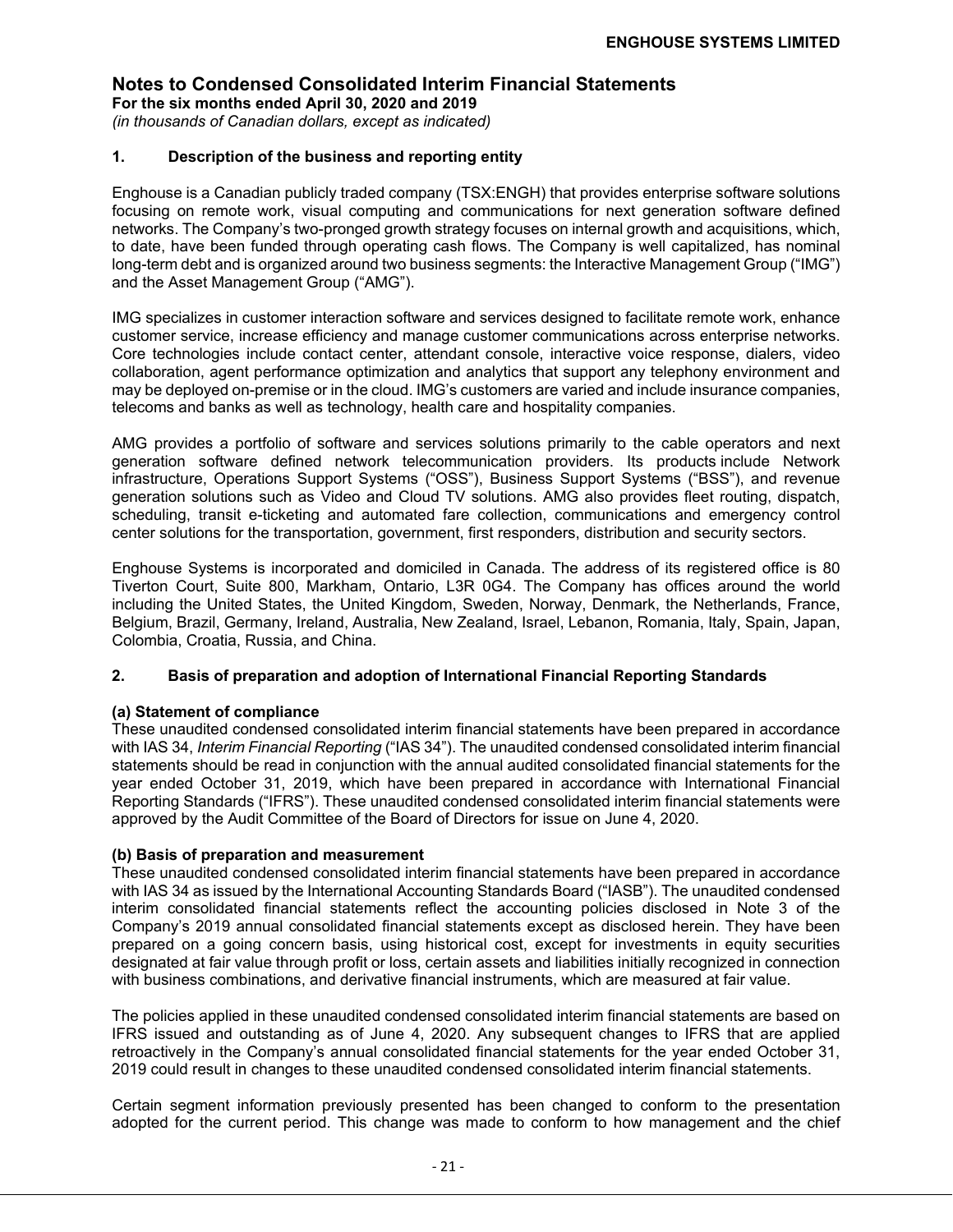**For the six months ended April 30, 2020 and 2019** *(in thousands of Canadian dollars, except as indicated)*

## **1. Description of the business and reporting entity**

Enghouse is a Canadian publicly traded company (TSX:ENGH) that provides enterprise software solutions focusing on remote work, visual computing and communications for next generation software defined networks. The Company's two-pronged growth strategy focuses on internal growth and acquisitions, which, to date, have been funded through operating cash flows. The Company is well capitalized, has nominal long-term debt and is organized around two business segments: the Interactive Management Group ("IMG") and the Asset Management Group ("AMG").

IMG specializes in customer interaction software and services designed to facilitate remote work, enhance customer service, increase efficiency and manage customer communications across enterprise networks. Core technologies include contact center, attendant console, interactive voice response, dialers, video collaboration, agent performance optimization and analytics that support any telephony environment and may be deployed on-premise or in the cloud. IMG's customers are varied and include insurance companies, telecoms and banks as well as technology, health care and hospitality companies.

AMG provides a portfolio of software and services solutions primarily to the cable operators and next generation software defined network telecommunication providers. Its products include Network infrastructure, Operations Support Systems ("OSS"), Business Support Systems ("BSS"), and revenue generation solutions such as Video and Cloud TV solutions. AMG also provides fleet routing, dispatch, scheduling, transit e-ticketing and automated fare collection, communications and emergency control center solutions for the transportation, government, first responders, distribution and security sectors.

Enghouse Systems is incorporated and domiciled in Canada. The address of its registered office is 80 Tiverton Court, Suite 800, Markham, Ontario, L3R 0G4. The Company has offices around the world including the United States, the United Kingdom, Sweden, Norway, Denmark, the Netherlands, France, Belgium, Brazil, Germany, Ireland, Australia, New Zealand, Israel, Lebanon, Romania, Italy, Spain, Japan, Colombia, Croatia, Russia, and China.

#### **2. Basis of preparation and adoption of International Financial Reporting Standards**

#### **(a) Statement of compliance**

These unaudited condensed consolidated interim financial statements have been prepared in accordance with IAS 34, *Interim Financial Reporting* ("IAS 34"). The unaudited condensed consolidated interim financial statements should be read in conjunction with the annual audited consolidated financial statements for the year ended October 31, 2019, which have been prepared in accordance with International Financial Reporting Standards ("IFRS"). These unaudited condensed consolidated interim financial statements were approved by the Audit Committee of the Board of Directors for issue on June 4, 2020.

#### **(b) Basis of preparation and measurement**

These unaudited condensed consolidated interim financial statements have been prepared in accordance with IAS 34 as issued by the International Accounting Standards Board ("IASB"). The unaudited condensed interim consolidated financial statements reflect the accounting policies disclosed in Note 3 of the Company's 2019 annual consolidated financial statements except as disclosed herein. They have been prepared on a going concern basis, using historical cost, except for investments in equity securities designated at fair value through profit or loss, certain assets and liabilities initially recognized in connection with business combinations, and derivative financial instruments, which are measured at fair value.

The policies applied in these unaudited condensed consolidated interim financial statements are based on IFRS issued and outstanding as of June 4, 2020. Any subsequent changes to IFRS that are applied retroactively in the Company's annual consolidated financial statements for the year ended October 31, 2019 could result in changes to these unaudited condensed consolidated interim financial statements.

Certain segment information previously presented has been changed to conform to the presentation adopted for the current period. This change was made to conform to how management and the chief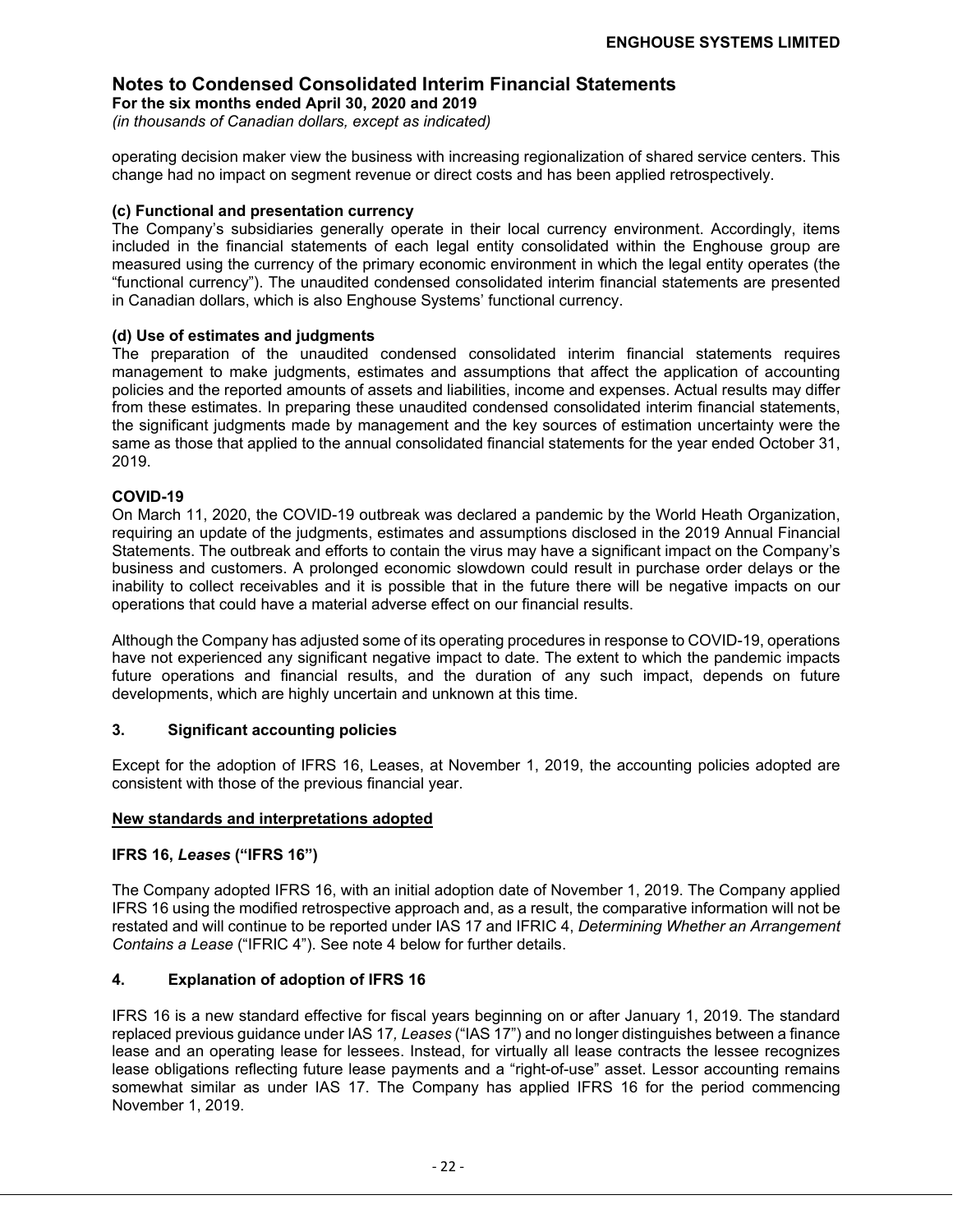**For the six months ended April 30, 2020 and 2019** *(in thousands of Canadian dollars, except as indicated)*

operating decision maker view the business with increasing regionalization of shared service centers. This change had no impact on segment revenue or direct costs and has been applied retrospectively.

#### **(c) Functional and presentation currency**

The Company's subsidiaries generally operate in their local currency environment. Accordingly, items included in the financial statements of each legal entity consolidated within the Enghouse group are measured using the currency of the primary economic environment in which the legal entity operates (the "functional currency"). The unaudited condensed consolidated interim financial statements are presented in Canadian dollars, which is also Enghouse Systems' functional currency.

#### **(d) Use of estimates and judgments**

The preparation of the unaudited condensed consolidated interim financial statements requires management to make judgments, estimates and assumptions that affect the application of accounting policies and the reported amounts of assets and liabilities, income and expenses. Actual results may differ from these estimates. In preparing these unaudited condensed consolidated interim financial statements, the significant judgments made by management and the key sources of estimation uncertainty were the same as those that applied to the annual consolidated financial statements for the year ended October 31, 2019.

#### **COVID-19**

On March 11, 2020, the COVID-19 outbreak was declared a pandemic by the World Heath Organization, requiring an update of the judgments, estimates and assumptions disclosed in the 2019 Annual Financial Statements. The outbreak and efforts to contain the virus may have a significant impact on the Company's business and customers. A prolonged economic slowdown could result in purchase order delays or the inability to collect receivables and it is possible that in the future there will be negative impacts on our operations that could have a material adverse effect on our financial results.

Although the Company has adjusted some of its operating procedures in response to COVID-19, operations have not experienced any significant negative impact to date. The extent to which the pandemic impacts future operations and financial results, and the duration of any such impact, depends on future developments, which are highly uncertain and unknown at this time.

#### **3. Significant accounting policies**

Except for the adoption of IFRS 16, Leases, at November 1, 2019, the accounting policies adopted are consistent with those of the previous financial year.

#### **New standards and interpretations adopted**

#### **IFRS 16,** *Leases* **("IFRS 16")**

The Company adopted IFRS 16, with an initial adoption date of November 1, 2019. The Company applied IFRS 16 using the modified retrospective approach and, as a result, the comparative information will not be restated and will continue to be reported under IAS 17 and IFRIC 4, *Determining Whether an Arrangement Contains a Lease* ("IFRIC 4"). See note 4 below for further details.

#### **4. Explanation of adoption of IFRS 16**

IFRS 16 is a new standard effective for fiscal years beginning on or after January 1, 2019. The standard replaced previous guidance under IAS 17*, Leases* ("IAS 17") and no longer distinguishes between a finance lease and an operating lease for lessees. Instead, for virtually all lease contracts the lessee recognizes lease obligations reflecting future lease payments and a "right-of-use" asset. Lessor accounting remains somewhat similar as under IAS 17. The Company has applied IFRS 16 for the period commencing November 1, 2019.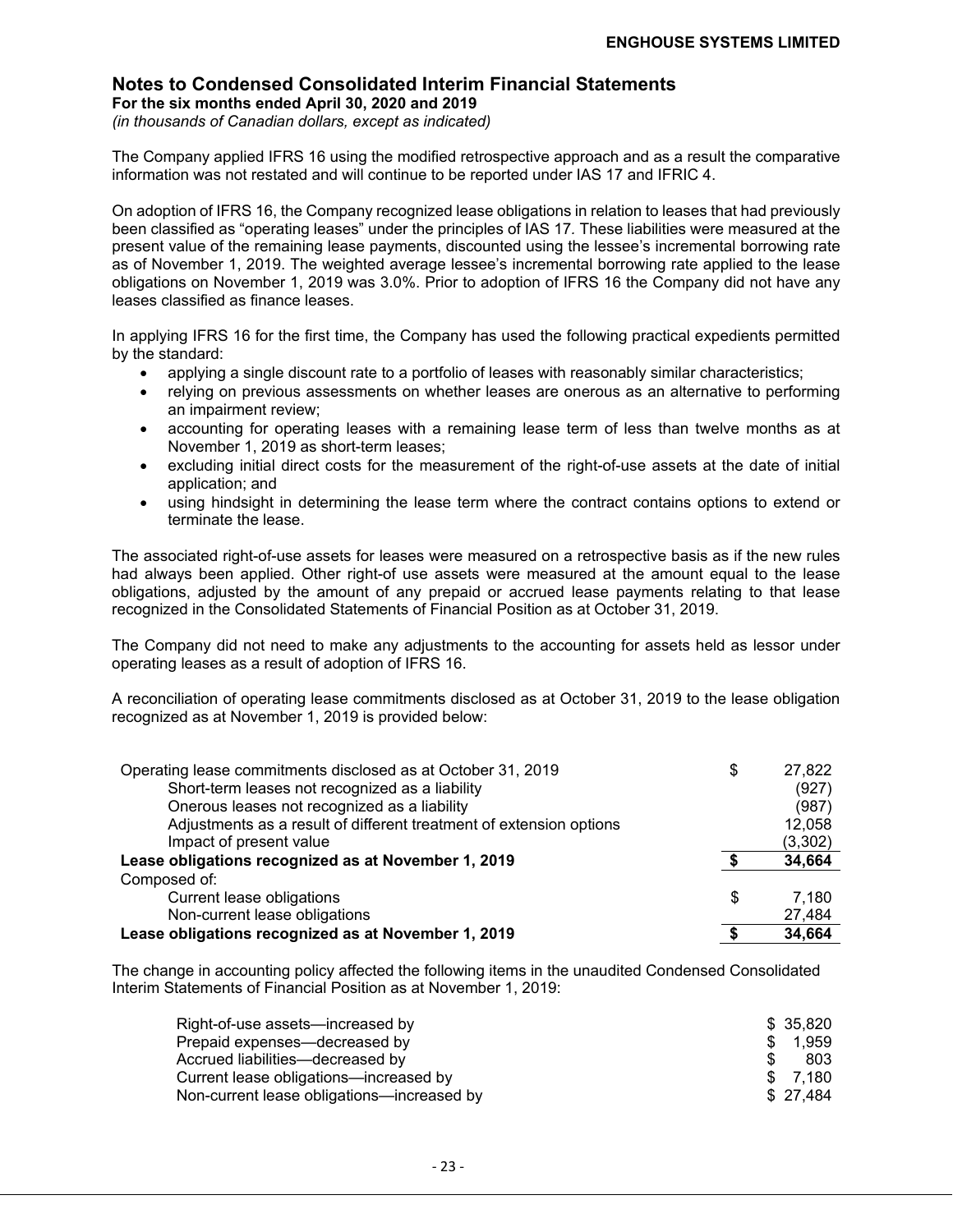**For the six months ended April 30, 2020 and 2019**

*(in thousands of Canadian dollars, except as indicated)*

The Company applied IFRS 16 using the modified retrospective approach and as a result the comparative information was not restated and will continue to be reported under IAS 17 and IFRIC 4.

On adoption of IFRS 16, the Company recognized lease obligations in relation to leases that had previously been classified as "operating leases" under the principles of IAS 17*.* These liabilities were measured at the present value of the remaining lease payments, discounted using the lessee's incremental borrowing rate as of November 1, 2019. The weighted average lessee's incremental borrowing rate applied to the lease obligations on November 1, 2019 was 3.0%. Prior to adoption of IFRS 16 the Company did not have any leases classified as finance leases.

In applying IFRS 16 for the first time, the Company has used the following practical expedients permitted by the standard:

- applying a single discount rate to a portfolio of leases with reasonably similar characteristics;
- relying on previous assessments on whether leases are onerous as an alternative to performing an impairment review;
- accounting for operating leases with a remaining lease term of less than twelve months as at November 1, 2019 as short-term leases;
- excluding initial direct costs for the measurement of the right-of-use assets at the date of initial application; and
- using hindsight in determining the lease term where the contract contains options to extend or terminate the lease.

The associated right-of-use assets for leases were measured on a retrospective basis as if the new rules had always been applied. Other right-of use assets were measured at the amount equal to the lease obligations, adjusted by the amount of any prepaid or accrued lease payments relating to that lease recognized in the Consolidated Statements of Financial Position as at October 31, 2019.

The Company did not need to make any adjustments to the accounting for assets held as lessor under operating leases as a result of adoption of IFRS 16.

A reconciliation of operating lease commitments disclosed as at October 31, 2019 to the lease obligation recognized as at November 1, 2019 is provided below:

| Operating lease commitments disclosed as at October 31, 2019        | \$<br>27,822 |
|---------------------------------------------------------------------|--------------|
| Short-term leases not recognized as a liability                     | (927)        |
| Onerous leases not recognized as a liability                        | (987)        |
| Adjustments as a result of different treatment of extension options | 12,058       |
| Impact of present value                                             | (3,302)      |
| Lease obligations recognized as at November 1, 2019                 | 34,664       |
| Composed of:                                                        |              |
| Current lease obligations                                           | \$<br>7.180  |
| Non-current lease obligations                                       | 27,484       |
| Lease obligations recognized as at November 1, 2019                 | 34,664       |

The change in accounting policy affected the following items in the unaudited Condensed Consolidated Interim Statements of Financial Position as at November 1, 2019:

| Right-of-use assets—increased by           | \$ 35.820 |
|--------------------------------------------|-----------|
| Prepaid expenses—decreased by              | \$ 1.959  |
| Accrued liabilities—decreased by           | 803       |
| Current lease obligations—increased by     | \$ 7.180  |
| Non-current lease obligations-increased by | \$27.484  |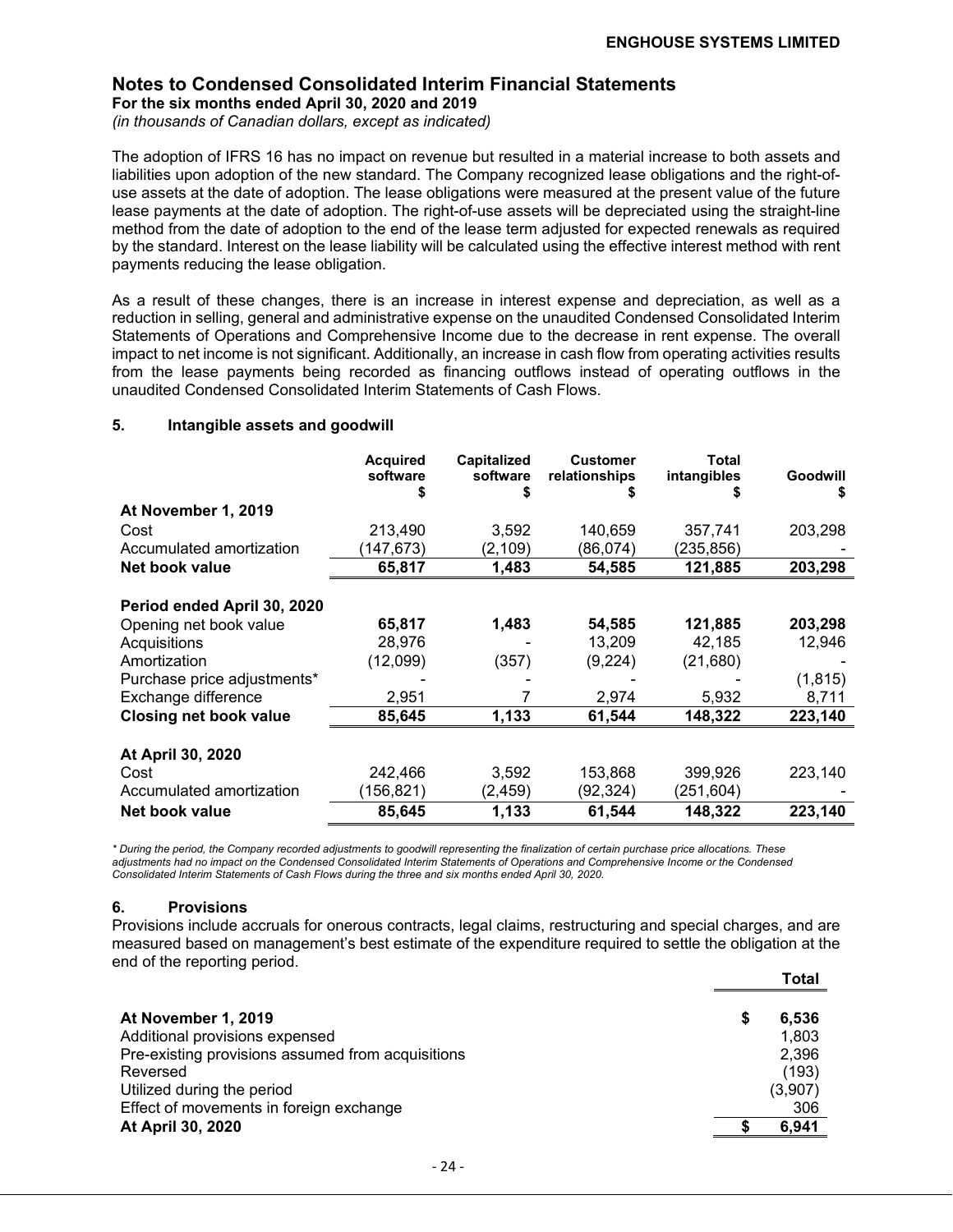#### **Notes to Condensed Consolidated Interim Financial Statements For the six months ended April 30, 2020 and 2019**

*(in thousands of Canadian dollars, except as indicated)*

The adoption of IFRS 16 has no impact on revenue but resulted in a material increase to both assets and liabilities upon adoption of the new standard. The Company recognized lease obligations and the right-ofuse assets at the date of adoption. The lease obligations were measured at the present value of the future lease payments at the date of adoption. The right-of-use assets will be depreciated using the straight-line method from the date of adoption to the end of the lease term adjusted for expected renewals as required by the standard. Interest on the lease liability will be calculated using the effective interest method with rent payments reducing the lease obligation.

As a result of these changes, there is an increase in interest expense and depreciation, as well as a reduction in selling, general and administrative expense on the unaudited Condensed Consolidated Interim Statements of Operations and Comprehensive Income due to the decrease in rent expense. The overall impact to net income is not significant. Additionally, an increase in cash flow from operating activities results from the lease payments being recorded as financing outflows instead of operating outflows in the unaudited Condensed Consolidated Interim Statements of Cash Flows.

#### **5. Intangible assets and goodwill**

|                               | <b>Acquired</b><br>software | <b>Capitalized</b><br>software | <b>Customer</b><br>relationships | Total<br>intangibles | Goodwill<br>S |
|-------------------------------|-----------------------------|--------------------------------|----------------------------------|----------------------|---------------|
| At November 1, 2019           |                             |                                |                                  |                      |               |
| Cost                          | 213,490                     | 3,592                          | 140.659                          | 357,741              | 203,298       |
| Accumulated amortization      | (147,673)                   | (2, 109)                       | (86,074)                         | (235,856)            |               |
| Net book value                | 65,817                      | 1,483                          | 54,585                           | 121,885              | 203,298       |
| Period ended April 30, 2020   |                             |                                |                                  |                      |               |
| Opening net book value        | 65,817                      | 1,483                          | 54,585                           | 121,885              | 203,298       |
| Acquisitions                  | 28,976                      |                                | 13,209                           | 42,185               | 12,946        |
| Amortization                  | (12,099)                    | (357)                          | (9,224)                          | (21, 680)            |               |
| Purchase price adjustments*   |                             |                                |                                  |                      | (1, 815)      |
| Exchange difference           | 2,951                       |                                | 2,974                            | 5,932                | 8,711         |
| <b>Closing net book value</b> | 85,645                      | 1,133                          | 61,544                           | 148,322              | 223,140       |
| At April 30, 2020             |                             |                                |                                  |                      |               |
| Cost                          | 242,466                     | 3,592                          | 153,868                          | 399,926              | 223,140       |
| Accumulated amortization      | (156, 821)                  | (2,459)                        | (92,324)                         | (251,604)            |               |
| Net book value                | 85,645                      | 1,133                          | 61,544                           | 148,322              | 223,140       |

*\* During the period, the Company recorded adjustments to goodwill representing the finalization of certain purchase price allocations. These adjustments had no impact on the Condensed Consolidated Interim Statements of Operations and Comprehensive Income or the Condensed Consolidated Interim Statements of Cash Flows during the three and six months ended April 30, 2020.*

#### **6. Provisions**

Provisions include accruals for onerous contracts, legal claims, restructuring and special charges, and are measured based on management's best estimate of the expenditure required to settle the obligation at the end of the reporting period. **Total**

|                                                   |   | ∣oτaι   |
|---------------------------------------------------|---|---------|
| At November 1, 2019                               | S | 6,536   |
| Additional provisions expensed                    |   | 1,803   |
| Pre-existing provisions assumed from acquisitions |   | 2,396   |
| Reversed                                          |   | (193)   |
| Utilized during the period                        |   | (3,907) |
| Effect of movements in foreign exchange           |   | 306     |
| At April 30, 2020                                 |   | 6,941   |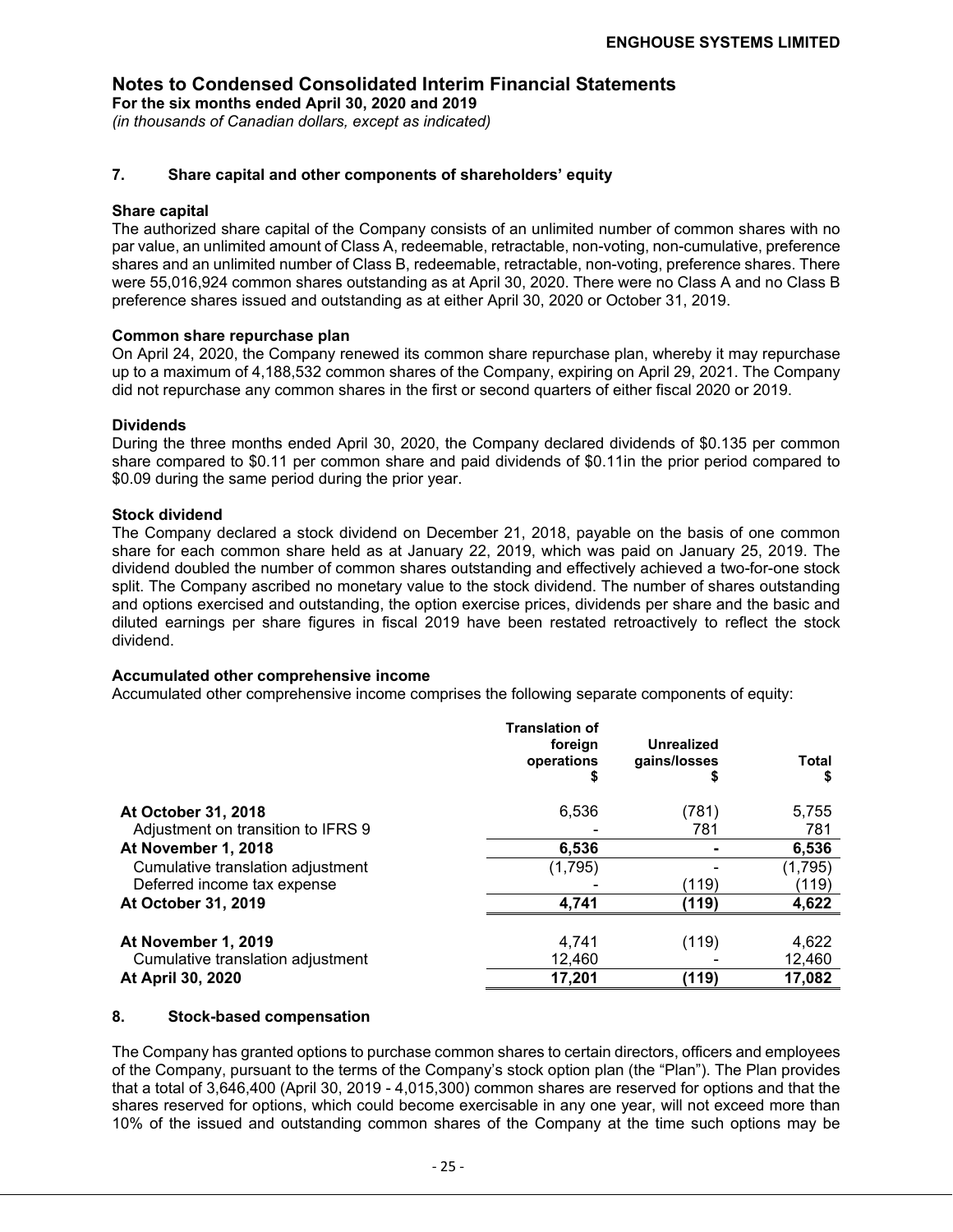**For the six months ended April 30, 2020 and 2019** *(in thousands of Canadian dollars, except as indicated)*

#### **7. Share capital and other components of shareholders' equity**

#### **Share capital**

The authorized share capital of the Company consists of an unlimited number of common shares with no par value, an unlimited amount of Class A, redeemable, retractable, non-voting, non-cumulative, preference shares and an unlimited number of Class B, redeemable, retractable, non-voting, preference shares. There were 55,016,924 common shares outstanding as at April 30, 2020. There were no Class A and no Class B preference shares issued and outstanding as at either April 30, 2020 or October 31, 2019.

#### **Common share repurchase plan**

On April 24, 2020, the Company renewed its common share repurchase plan, whereby it may repurchase up to a maximum of 4,188,532 common shares of the Company, expiring on April 29, 2021. The Company did not repurchase any common shares in the first or second quarters of either fiscal 2020 or 2019.

#### **Dividends**

During the three months ended April 30, 2020, the Company declared dividends of \$0.135 per common share compared to \$0.11 per common share and paid dividends of \$0.11in the prior period compared to \$0.09 during the same period during the prior year.

#### **Stock dividend**

The Company declared a stock dividend on December 21, 2018, payable on the basis of one common share for each common share held as at January 22, 2019, which was paid on January 25, 2019. The dividend doubled the number of common shares outstanding and effectively achieved a two-for-one stock split. The Company ascribed no monetary value to the stock dividend. The number of shares outstanding and options exercised and outstanding, the option exercise prices, dividends per share and the basic and diluted earnings per share figures in fiscal 2019 have been restated retroactively to reflect the stock dividend.

#### **Accumulated other comprehensive income**

Accumulated other comprehensive income comprises the following separate components of equity:

|                                    | <b>Translation of</b><br>foreign<br>operations<br>S | Unrealized<br>gains/losses<br>5 | Total<br>S |
|------------------------------------|-----------------------------------------------------|---------------------------------|------------|
| At October 31, 2018                | 6,536                                               | (781)                           | 5,755      |
| Adjustment on transition to IFRS 9 |                                                     | 781                             | 781        |
| At November 1, 2018                | 6,536                                               |                                 | 6,536      |
| Cumulative translation adjustment  | (1,795)                                             |                                 | (1,795)    |
| Deferred income tax expense        |                                                     | (119)                           | (119)      |
| At October 31, 2019                | 4,741                                               | (119)                           | 4,622      |
| At November 1, 2019                | 4,741                                               | (119)                           | 4,622      |
| Cumulative translation adjustment  | 12,460                                              |                                 | 12,460     |
| <b>At April 30, 2020</b>           | 17,201                                              | (119)                           | 17,082     |

#### **8. Stock-based compensation**

The Company has granted options to purchase common shares to certain directors, officers and employees of the Company, pursuant to the terms of the Company's stock option plan (the "Plan"). The Plan provides that a total of 3,646,400 (April 30, 2019 - 4,015,300) common shares are reserved for options and that the shares reserved for options, which could become exercisable in any one year, will not exceed more than 10% of the issued and outstanding common shares of the Company at the time such options may be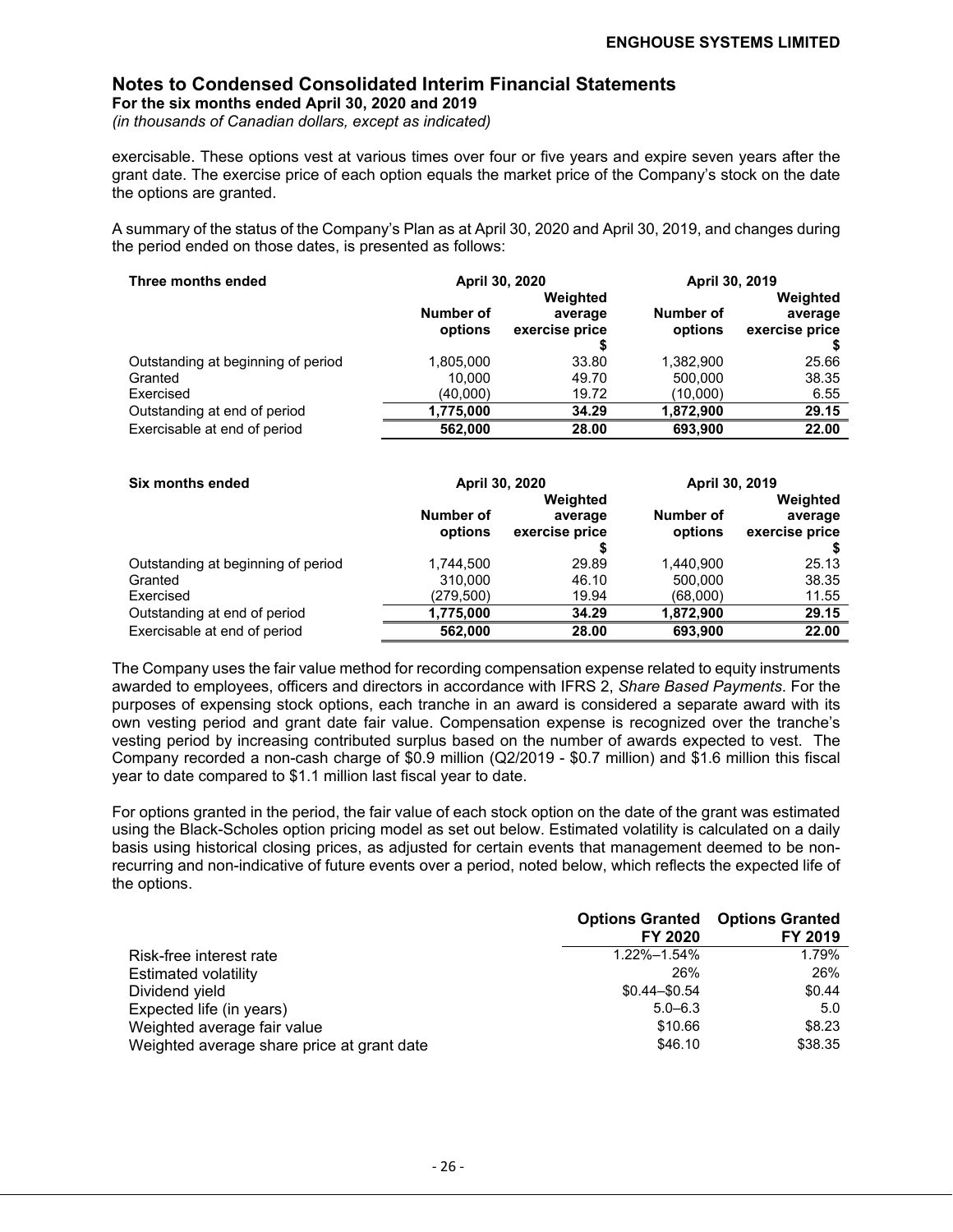**For the six months ended April 30, 2020 and 2019**

*(in thousands of Canadian dollars, except as indicated)*

exercisable. These options vest at various times over four or five years and expire seven years after the grant date. The exercise price of each option equals the market price of the Company's stock on the date the options are granted.

A summary of the status of the Company's Plan as at April 30, 2020 and April 30, 2019, and changes during the period ended on those dates, is presented as follows:

| Three months ended                 | April 30, 2020       |                           | April 30, 2019       |                           |
|------------------------------------|----------------------|---------------------------|----------------------|---------------------------|
|                                    |                      | Weighted                  |                      | Weighted                  |
|                                    | Number of<br>options | average<br>exercise price | Number of<br>options | average<br>exercise price |
|                                    |                      |                           |                      |                           |
| Outstanding at beginning of period | 1,805,000            | 33.80                     | 1,382,900            | 25.66                     |
| Granted                            | 10.000               | 49.70                     | 500,000              | 38.35                     |
| Exercised                          | (40.000)             | 19.72                     | (10.000)             | 6.55                      |
| Outstanding at end of period       | 1,775,000            | 34.29                     | 1,872,900            | 29.15                     |
| Exercisable at end of period       | 562.000              | 28.00                     | 693.900              | 22.00                     |

| Six months ended                   |                      | April 30, 2020                        | April 30, 2019       |                                       |
|------------------------------------|----------------------|---------------------------------------|----------------------|---------------------------------------|
|                                    | Number of<br>options | Weighted<br>average<br>exercise price | Number of<br>options | Weighted<br>average<br>exercise price |
|                                    |                      |                                       |                      |                                       |
| Outstanding at beginning of period | 1,744,500            | 29.89                                 | 1.440.900            | 25.13                                 |
| Granted                            | 310.000              | 46.10                                 | 500.000              | 38.35                                 |
| Exercised                          | (279,500)            | 19.94                                 | (68,000)             | 11.55                                 |
| Outstanding at end of period       | 1,775,000            | 34.29                                 | 1,872,900            | 29.15                                 |
| Exercisable at end of period       | 562.000              | 28.00                                 | 693.900              | 22.00                                 |

The Company uses the fair value method for recording compensation expense related to equity instruments awarded to employees, officers and directors in accordance with IFRS 2, *Share Based Payments*. For the purposes of expensing stock options, each tranche in an award is considered a separate award with its own vesting period and grant date fair value. Compensation expense is recognized over the tranche's vesting period by increasing contributed surplus based on the number of awards expected to vest. The Company recorded a non-cash charge of \$0.9 million (Q2/2019 - \$0.7 million) and \$1.6 million this fiscal year to date compared to \$1.1 million last fiscal year to date.

For options granted in the period, the fair value of each stock option on the date of the grant was estimated using the Black-Scholes option pricing model as set out below. Estimated volatility is calculated on a daily basis using historical closing prices, as adjusted for certain events that management deemed to be nonrecurring and non-indicative of future events over a period, noted below, which reflects the expected life of the options.

|                                            |                 | <b>Options Granted Options Granted</b> |
|--------------------------------------------|-----------------|----------------------------------------|
|                                            | FY 2020         | FY 2019                                |
| Risk-free interest rate                    | 1.22%-1.54%     | 1.79%                                  |
| <b>Estimated volatility</b>                | 26%             | 26%                                    |
| Dividend yield                             | $$0.44 - $0.54$ | \$0.44                                 |
| Expected life (in years)                   | $5.0 - 6.3$     | 5.0                                    |
| Weighted average fair value                | \$10.66         | \$8.23                                 |
| Weighted average share price at grant date | \$46.10         | \$38.35                                |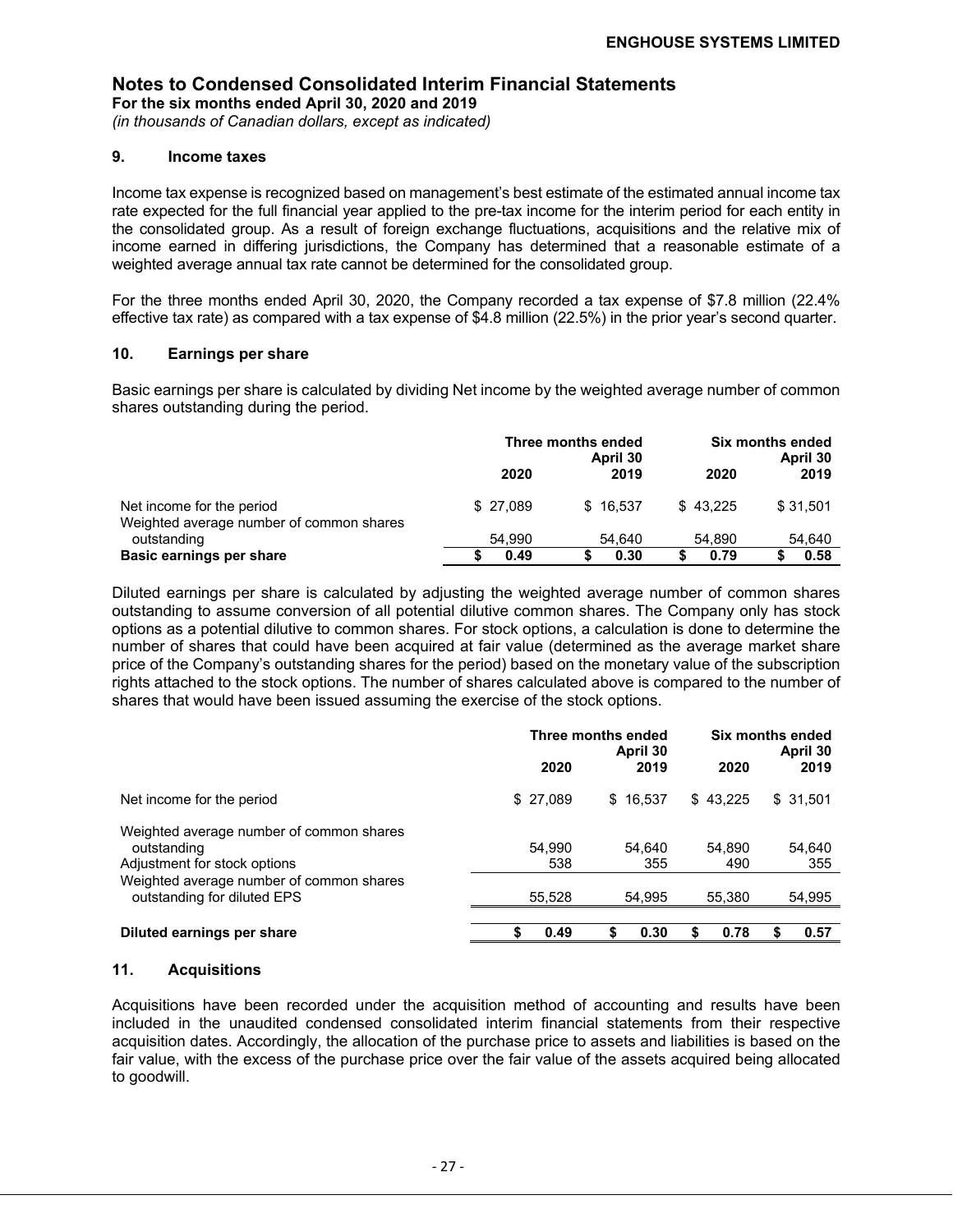#### **Notes to Condensed Consolidated Interim Financial Statements For the six months ended April 30, 2020 and 2019**

*(in thousands of Canadian dollars, except as indicated)*

#### **9. Income taxes**

Income tax expense is recognized based on management's best estimate of the estimated annual income tax rate expected for the full financial year applied to the pre-tax income for the interim period for each entity in the consolidated group. As a result of foreign exchange fluctuations, acquisitions and the relative mix of income earned in differing jurisdictions, the Company has determined that a reasonable estimate of a weighted average annual tax rate cannot be determined for the consolidated group.

For the three months ended April 30, 2020, the Company recorded a tax expense of \$7.8 million (22.4% effective tax rate) as compared with a tax expense of \$4.8 million (22.5%) in the prior year's second quarter.

#### **10. Earnings per share**

Basic earnings per share is calculated by dividing Net income by the weighted average number of common shares outstanding during the period.

|                                                                       | Three months ended<br>April 30 |          | Six months ended<br>April 30 |          |  |
|-----------------------------------------------------------------------|--------------------------------|----------|------------------------------|----------|--|
|                                                                       | 2020                           | 2019     | 2020                         | 2019     |  |
| Net income for the period<br>Weighted average number of common shares | \$27.089                       | \$16.537 | \$43.225                     | \$31.501 |  |
| outstanding                                                           | 54.990                         | 54.640   | 54.890                       | 54,640   |  |
| <b>Basic earnings per share</b>                                       | 0.49                           | 0.30     | 0.79                         | 0.58     |  |

Diluted earnings per share is calculated by adjusting the weighted average number of common shares outstanding to assume conversion of all potential dilutive common shares. The Company only has stock options as a potential dilutive to common shares. For stock options, a calculation is done to determine the number of shares that could have been acquired at fair value (determined as the average market share price of the Company's outstanding shares for the period) based on the monetary value of the subscription rights attached to the stock options. The number of shares calculated above is compared to the number of shares that would have been issued assuming the exercise of the stock options.

|                                                                                         | 2020          | Three months ended<br>April 30<br>2019 | 2020          | Six months ended<br>April 30<br>2019 |
|-----------------------------------------------------------------------------------------|---------------|----------------------------------------|---------------|--------------------------------------|
| Net income for the period                                                               | \$27,089      | \$16.537                               | \$43.225      | \$31,501                             |
| Weighted average number of common shares<br>outstanding<br>Adjustment for stock options | 54,990<br>538 | 54,640<br>355                          | 54.890<br>490 | 54,640<br>355                        |
| Weighted average number of common shares<br>outstanding for diluted EPS                 | 55,528        | 54,995                                 | 55,380        | 54,995                               |
| Diluted earnings per share                                                              | 0.49          | 0.30                                   | 0.78          | 0.57                                 |

#### **11. Acquisitions**

Acquisitions have been recorded under the acquisition method of accounting and results have been included in the unaudited condensed consolidated interim financial statements from their respective acquisition dates. Accordingly, the allocation of the purchase price to assets and liabilities is based on the fair value, with the excess of the purchase price over the fair value of the assets acquired being allocated to goodwill.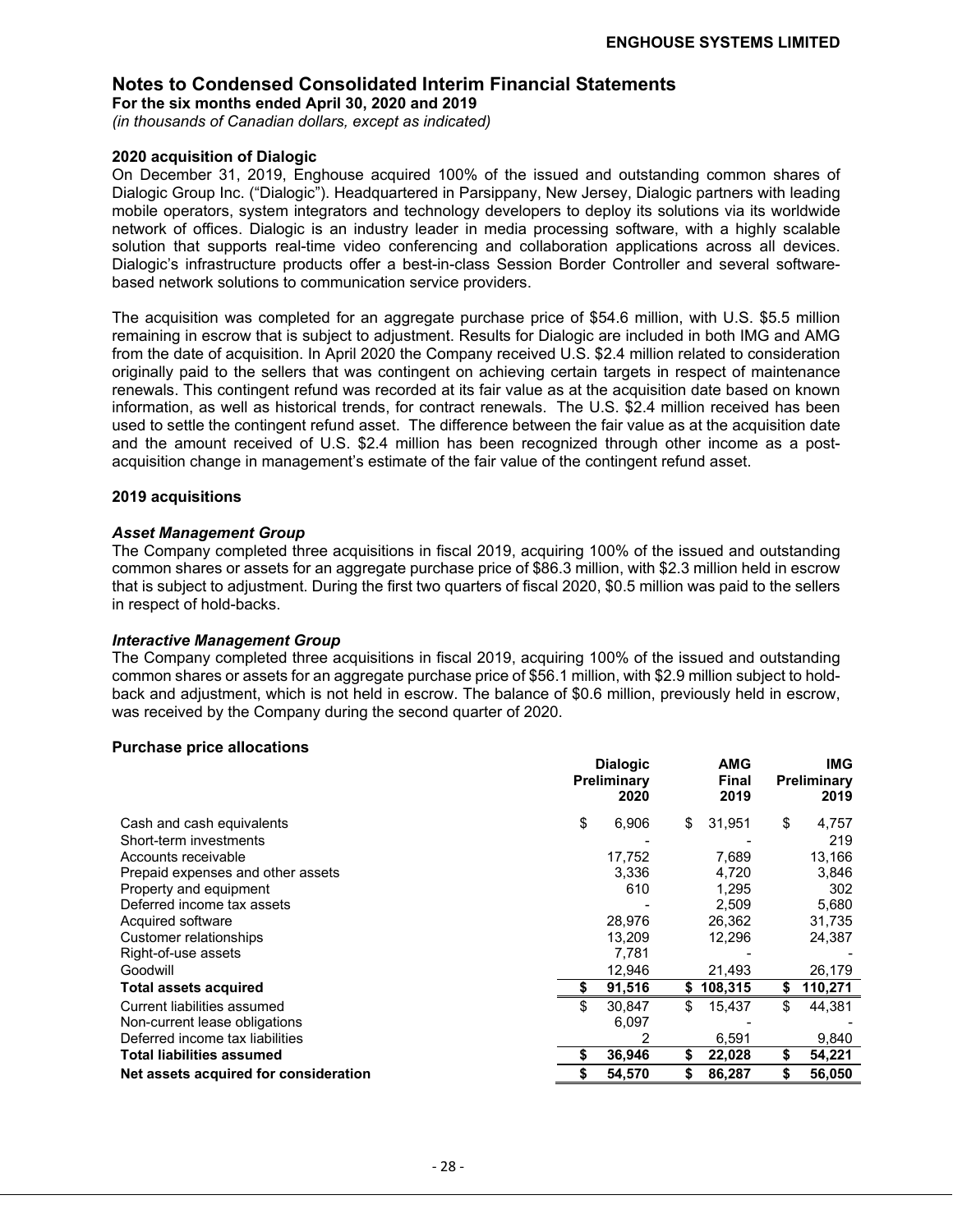**For the six months ended April 30, 2020 and 2019**

*(in thousands of Canadian dollars, except as indicated)*

#### **2020 acquisition of Dialogic**

On December 31, 2019, Enghouse acquired 100% of the issued and outstanding common shares of Dialogic Group Inc. ("Dialogic"). Headquartered in Parsippany, New Jersey, Dialogic partners with leading mobile operators, system integrators and technology developers to deploy its solutions via its worldwide network of offices. Dialogic is an industry leader in media processing software, with a highly scalable solution that supports real-time video conferencing and collaboration applications across all devices. Dialogic's infrastructure products offer a best-in-class Session Border Controller and several softwarebased network solutions to communication service providers.

The acquisition was completed for an aggregate purchase price of \$54.6 million, with U.S. \$5.5 million remaining in escrow that is subject to adjustment. Results for Dialogic are included in both IMG and AMG from the date of acquisition. In April 2020 the Company received U.S. \$2.4 million related to consideration originally paid to the sellers that was contingent on achieving certain targets in respect of maintenance renewals. This contingent refund was recorded at its fair value as at the acquisition date based on known information, as well as historical trends, for contract renewals. The U.S. \$2.4 million received has been used to settle the contingent refund asset. The difference between the fair value as at the acquisition date and the amount received of U.S. \$2.4 million has been recognized through other income as a postacquisition change in management's estimate of the fair value of the contingent refund asset.

#### **2019 acquisitions**

#### *Asset Management Group*

The Company completed three acquisitions in fiscal 2019, acquiring 100% of the issued and outstanding common shares or assets for an aggregate purchase price of \$86.3 million, with \$2.3 million held in escrow that is subject to adjustment. During the first two quarters of fiscal 2020, \$0.5 million was paid to the sellers in respect of hold-backs.

#### *Interactive Management Group*

The Company completed three acquisitions in fiscal 2019, acquiring 100% of the issued and outstanding common shares or assets for an aggregate purchase price of \$56.1 million, with \$2.9 million subject to holdback and adjustment, which is not held in escrow. The balance of \$0.6 million, previously held in escrow, was received by the Company during the second quarter of 2020.

#### **Purchase price allocations**

|                                       | <b>Dialogic</b><br>Preliminary<br>2020 |    | <b>AMG</b><br><b>Final</b><br>2019 | <b>IMG</b><br>Preliminary<br>2019 |
|---------------------------------------|----------------------------------------|----|------------------------------------|-----------------------------------|
| Cash and cash equivalents             | \$<br>6,906                            | \$ | 31,951                             | \$<br>4,757                       |
| Short-term investments                |                                        |    |                                    | 219                               |
| Accounts receivable                   | 17.752                                 |    | 7,689                              | 13,166                            |
| Prepaid expenses and other assets     | 3,336                                  |    | 4.720                              | 3,846                             |
| Property and equipment                | 610                                    |    | 1,295                              | 302                               |
| Deferred income tax assets            |                                        |    | 2,509                              | 5,680                             |
| Acquired software                     | 28,976                                 |    | 26,362                             | 31,735                            |
| Customer relationships                | 13,209                                 |    | 12,296                             | 24,387                            |
| Right-of-use assets                   | 7,781                                  |    |                                    |                                   |
| Goodwill                              | 12,946                                 |    | 21,493                             | 26,179                            |
| <b>Total assets acquired</b>          | 91,516                                 | S  | 108,315                            | \$<br>110,271                     |
| Current liabilities assumed           | 30,847                                 | \$ | 15,437                             | \$<br>44,381                      |
| Non-current lease obligations         | 6,097                                  |    |                                    |                                   |
| Deferred income tax liabilities       |                                        |    | 6,591                              | 9,840                             |
| Total liabilities assumed             | 36,946                                 | \$ | 22,028                             | \$<br>54,221                      |
| Net assets acquired for consideration | 54.570                                 |    | 86,287                             | \$<br>56,050                      |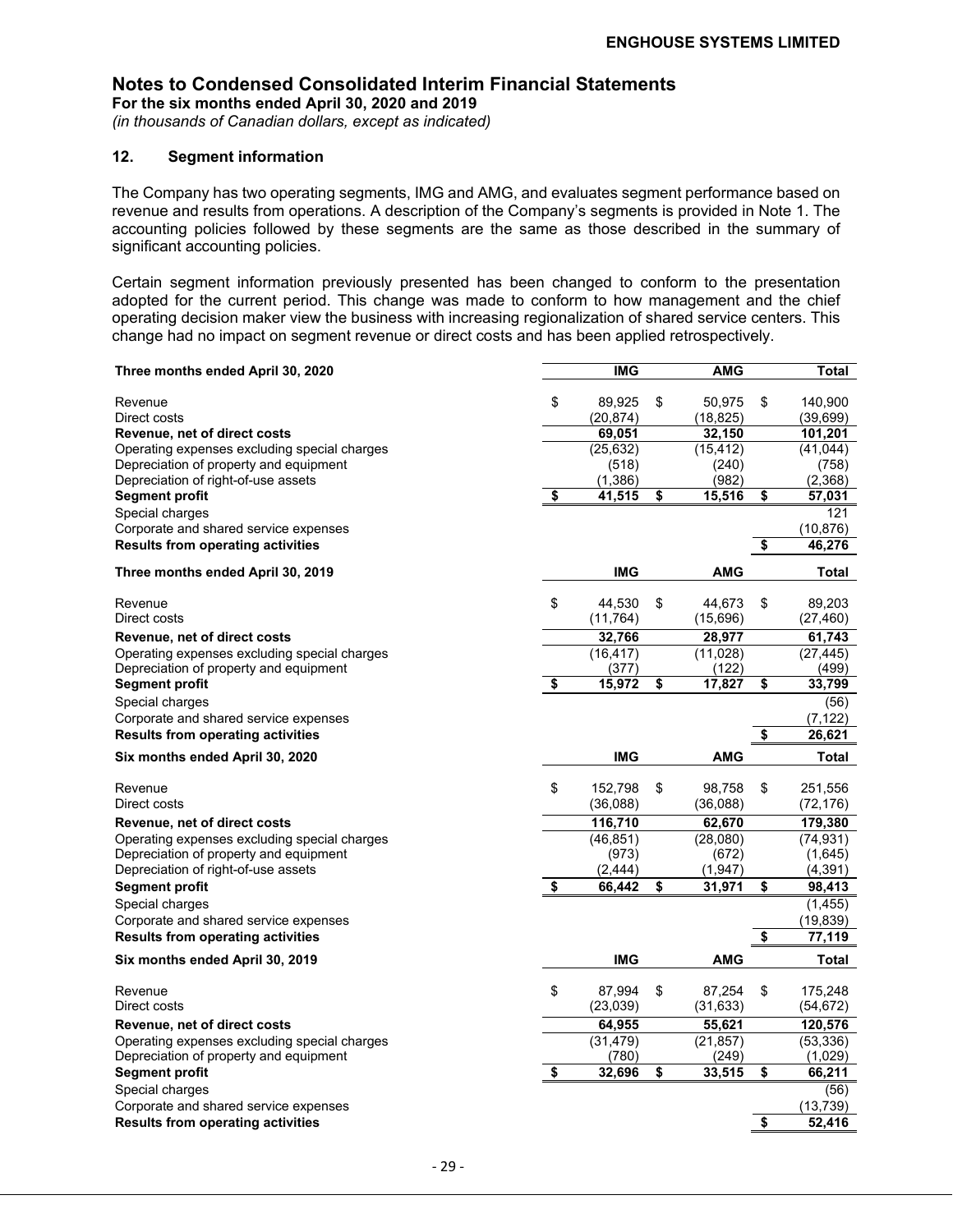**For the six months ended April 30, 2020 and 2019**

*(in thousands of Canadian dollars, except as indicated)*

#### **12. Segment information**

The Company has two operating segments, IMG and AMG, and evaluates segment performance based on revenue and results from operations. A description of the Company's segments is provided in Note 1. The accounting policies followed by these segments are the same as those described in the summary of significant accounting policies.

Certain segment information previously presented has been changed to conform to the presentation adopted for the current period. This change was made to conform to how management and the chief operating decision maker view the business with increasing regionalization of shared service centers. This change had no impact on segment revenue or direct costs and has been applied retrospectively.

| Three months ended April 30, 2020                                                      |                                      | <b>IMG</b>           | <b>AMG</b>            |                      | Total                |
|----------------------------------------------------------------------------------------|--------------------------------------|----------------------|-----------------------|----------------------|----------------------|
|                                                                                        |                                      |                      |                       |                      |                      |
| Revenue                                                                                | \$                                   | 89,925               | \$<br>50,975          | \$                   | 140,900              |
| Direct costs<br>Revenue, net of direct costs                                           |                                      | (20,874)<br>69,051   | (18, 825)<br>32,150   |                      | (39, 699)<br>101,201 |
| Operating expenses excluding special charges                                           |                                      | (25, 632)            | (15, 412)             |                      | (41, 044)            |
| Depreciation of property and equipment                                                 |                                      | (518)                | (240)                 |                      | (758)                |
| Depreciation of right-of-use assets                                                    |                                      | (1, 386)             | (982)                 |                      | (2,368)              |
| <b>Segment profit</b>                                                                  | \$                                   | 41,515               | \$<br>15,516          | \$                   | 57,031               |
| Special charges                                                                        |                                      |                      |                       |                      | 121                  |
| Corporate and shared service expenses                                                  |                                      |                      |                       |                      | (10, 876)            |
| <b>Results from operating activities</b>                                               |                                      |                      |                       | \$                   | 46,276               |
| Three months ended April 30, 2019                                                      |                                      | <b>IMG</b>           | <b>AMG</b>            |                      | Total                |
|                                                                                        |                                      |                      |                       |                      |                      |
| Revenue<br>Direct costs                                                                | \$                                   | 44,530               | \$<br>44,673          | \$                   | 89,203               |
|                                                                                        |                                      | (11, 764)            | (15,696)              |                      | (27, 460)            |
| Revenue, net of direct costs                                                           |                                      | 32,766               | 28,977                |                      | 61,743               |
| Operating expenses excluding special charges<br>Depreciation of property and equipment |                                      | (16, 417)<br>(377)   | (11,028)<br>(122)     |                      | (27, 445)<br>(499)   |
| Segment profit                                                                         | $\overline{\boldsymbol{\mathsf{s}}}$ | 15,972               | \$<br>17,827          | \$                   | 33,799               |
| Special charges                                                                        |                                      |                      |                       |                      | (56)                 |
| Corporate and shared service expenses                                                  |                                      |                      |                       |                      | (7, 122)             |
| <b>Results from operating activities</b>                                               |                                      |                      |                       | \$                   | 26,621               |
|                                                                                        |                                      |                      |                       |                      |                      |
|                                                                                        |                                      |                      |                       |                      |                      |
| Six months ended April 30, 2020                                                        |                                      | <b>IMG</b>           | AMG                   |                      | Total                |
| Revenue                                                                                |                                      |                      | \$<br>98.758          | \$                   |                      |
| Direct costs                                                                           | \$                                   | 152,798<br>(36,088)  | (36,088)              |                      | 251,556<br>(72,176)  |
|                                                                                        |                                      |                      |                       |                      |                      |
| Revenue, net of direct costs<br>Operating expenses excluding special charges           |                                      | 116,710<br>(46, 851) | 62,670<br>(28,080)    |                      | 179,380<br>(74,931)  |
| Depreciation of property and equipment                                                 |                                      | (973)                | (672)                 |                      | (1,645)              |
| Depreciation of right-of-use assets                                                    |                                      | (2, 444)             | (1,947)               |                      | (4, 391)             |
| <b>Segment profit</b>                                                                  | \$                                   | 66,442               | \$<br>31,971          | \$                   | 98,413               |
| Special charges                                                                        |                                      |                      |                       |                      | (1, 455)             |
| Corporate and shared service expenses                                                  |                                      |                      |                       |                      | (19, 839)            |
| <b>Results from operating activities</b>                                               |                                      |                      |                       | $\overline{\bullet}$ | 77,119               |
| Six months ended April 30, 2019                                                        |                                      | <b>IMG</b>           | <b>AMG</b>            |                      | Total                |
|                                                                                        |                                      |                      |                       |                      |                      |
| Revenue                                                                                | \$                                   | 87,994               | \$<br>87,254          | \$                   | 175,248              |
| Direct costs                                                                           |                                      | (23,039)             | (31, 633)             |                      | (54,672)             |
| Revenue, net of direct costs                                                           |                                      | 64,955               | 55,621                |                      | 120,576              |
| Operating expenses excluding special charges                                           |                                      | (31, 479)            | (21, 857)             |                      | (53, 336)            |
| Depreciation of property and equipment<br>Segment profit                               | \$                                   | (780)<br>32,696      | \$<br>(249)<br>33,515 | \$                   | (1,029)<br>66,211    |
| Special charges                                                                        |                                      |                      |                       |                      | (56)                 |
| Corporate and shared service expenses                                                  |                                      |                      |                       |                      | (13, 739)            |